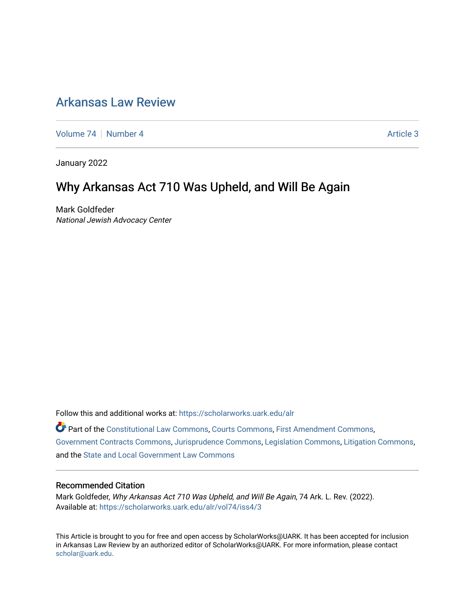## [Arkansas Law Review](https://scholarworks.uark.edu/alr)

[Volume 74](https://scholarworks.uark.edu/alr/vol74) | [Number 4](https://scholarworks.uark.edu/alr/vol74/iss4) Article 3

January 2022

# Why Arkansas Act 710 Was Upheld, and Will Be Again

Mark Goldfeder National Jewish Advocacy Center

Follow this and additional works at: [https://scholarworks.uark.edu/alr](https://scholarworks.uark.edu/alr?utm_source=scholarworks.uark.edu%2Falr%2Fvol74%2Fiss4%2F3&utm_medium=PDF&utm_campaign=PDFCoverPages) 

Part of the [Constitutional Law Commons,](http://network.bepress.com/hgg/discipline/589?utm_source=scholarworks.uark.edu%2Falr%2Fvol74%2Fiss4%2F3&utm_medium=PDF&utm_campaign=PDFCoverPages) [Courts Commons,](http://network.bepress.com/hgg/discipline/839?utm_source=scholarworks.uark.edu%2Falr%2Fvol74%2Fiss4%2F3&utm_medium=PDF&utm_campaign=PDFCoverPages) [First Amendment Commons](http://network.bepress.com/hgg/discipline/1115?utm_source=scholarworks.uark.edu%2Falr%2Fvol74%2Fiss4%2F3&utm_medium=PDF&utm_campaign=PDFCoverPages), [Government Contracts Commons,](http://network.bepress.com/hgg/discipline/845?utm_source=scholarworks.uark.edu%2Falr%2Fvol74%2Fiss4%2F3&utm_medium=PDF&utm_campaign=PDFCoverPages) [Jurisprudence Commons](http://network.bepress.com/hgg/discipline/610?utm_source=scholarworks.uark.edu%2Falr%2Fvol74%2Fiss4%2F3&utm_medium=PDF&utm_campaign=PDFCoverPages), [Legislation Commons,](http://network.bepress.com/hgg/discipline/859?utm_source=scholarworks.uark.edu%2Falr%2Fvol74%2Fiss4%2F3&utm_medium=PDF&utm_campaign=PDFCoverPages) [Litigation Commons](http://network.bepress.com/hgg/discipline/910?utm_source=scholarworks.uark.edu%2Falr%2Fvol74%2Fiss4%2F3&utm_medium=PDF&utm_campaign=PDFCoverPages), and the [State and Local Government Law Commons](http://network.bepress.com/hgg/discipline/879?utm_source=scholarworks.uark.edu%2Falr%2Fvol74%2Fiss4%2F3&utm_medium=PDF&utm_campaign=PDFCoverPages) 

#### Recommended Citation

Mark Goldfeder, Why Arkansas Act 710 Was Upheld, and Will Be Again, 74 Ark. L. Rev. (2022). Available at: [https://scholarworks.uark.edu/alr/vol74/iss4/3](https://scholarworks.uark.edu/alr/vol74/iss4/3?utm_source=scholarworks.uark.edu%2Falr%2Fvol74%2Fiss4%2F3&utm_medium=PDF&utm_campaign=PDFCoverPages)

This Article is brought to you for free and open access by ScholarWorks@UARK. It has been accepted for inclusion in Arkansas Law Review by an authorized editor of ScholarWorks@UARK. For more information, please contact [scholar@uark.edu](mailto:scholar@uark.edu).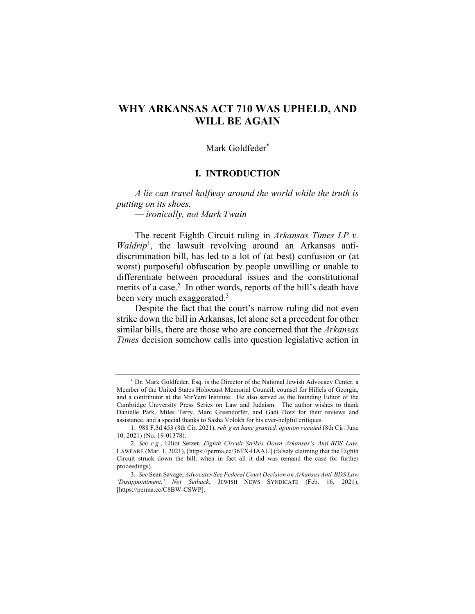## **WHY ARKANSAS ACT 710 WAS UPHELD, AND WILL BE AGAIN**

#### Mark Goldfeder\*

#### **I. INTRODUCTION**

*A lie can travel halfway around the world while the truth is putting on its shoes.*

*— ironically, not Mark Twain*

The recent Eighth Circuit ruling in *Arkansas Times LP v.*  Waldrip<sup>1</sup>, the lawsuit revolving around an Arkansas antidiscrimination bill, has led to a lot of (at best) confusion or (at worst) purposeful obfuscation by people unwilling or unable to differentiate between procedural issues and the constitutional merits of a case.<sup>2</sup> In other words, reports of the bill's death have been very much exaggerated.<sup>3</sup>

Despite the fact that the court's narrow ruling did not even strike down the bill in Arkansas, let alone set a precedent for other similar bills, there are those who are concerned that the *Arkansas Times* decision somehow calls into question legislative action in

 <sup>\*</sup> Dr. Mark Goldfeder, Esq. is the Director of the National Jewish Advocacy Center, a Member of the United States Holocaust Memorial Council, counsel for Hillels of Georgia, and a contributor at the MirYam Institute. He also served as the founding Editor of the Cambridge University Press Series on Law and Judaism. The author wishes to thank Danielle Park, Miles Terry, Marc Greendorfer, and Gadi Dotz for their reviews and assistance, and a special thanks to Sasha Volokh for his ever-helpful critiques.

<sup>1.</sup> 988 F.3d 453 (8th Cir. 2021), *reh'g en banc granted, opinion vacated* (8th Cir. June 10, 2021) (No. 19-01378).

<sup>2</sup>*. See e.g.*, Elliot Setzer, *Eighth Circuit Strikes Down Arkansas's Anti-BDS Law*, LAWFARE (Mar. 1, 2021), [https://perma.cc/36TX-HAAU] (falsely claiming that the Eighth Circuit struck down the bill, when in fact all it did was remand the case for further proceedings).

<sup>3</sup>*. See* Sean Savage, *Advocates See Federal Court Decision on Arkansas Anti-BDS Law 'Disappointment,' Not Setback*, JEWISH NEWS SYNDICATE (Feb. 16, 2021), [https://perma.cc/C8BW-CSWP].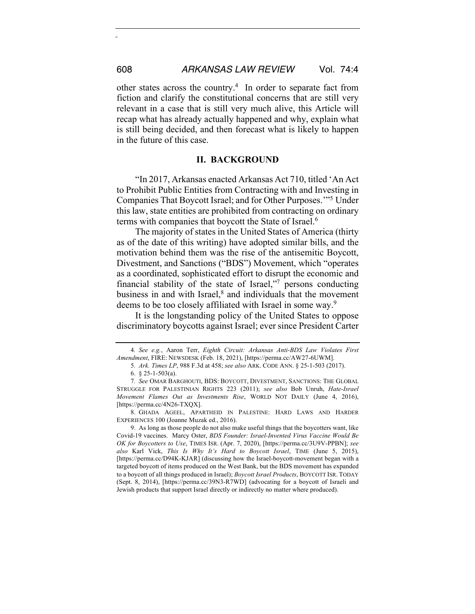other states across the country.4 In order to separate fact from fiction and clarify the constitutional concerns that are still very relevant in a case that is still very much alive, this Article will recap what has already actually happened and why, explain what is still being decided, and then forecast what is likely to happen in the future of this case.

#### **II. BACKGROUND**

"In 2017, Arkansas enacted Arkansas Act 710, titled 'An Act to Prohibit Public Entities from Contracting with and Investing in Companies That Boycott Israel; and for Other Purposes.'"5 Under this law, state entities are prohibited from contracting on ordinary terms with companies that boycott the State of Israel.<sup>6</sup>

The majority of states in the United States of America (thirty as of the date of this writing) have adopted similar bills, and the motivation behind them was the rise of the antisemitic Boycott, Divestment, and Sanctions ("BDS") Movement, which "operates as a coordinated, sophisticated effort to disrupt the economic and financial stability of the state of Israel,"7 persons conducting business in and with Israel,<sup>8</sup> and individuals that the movement deems to be too closely affiliated with Israel in some way.<sup>9</sup>

It is the longstanding policy of the United States to oppose discriminatory boycotts against Israel; ever since President Carter

<sup>4</sup>*. See e.g.*, Aaron Terr, *Eighth Circuit: Arkansas Anti-BDS Law Violates First Amendment*, FIRE: NEWSDESK (Feb. 18, 2021), [https://perma.cc/AW27-6UWM].

<sup>5</sup>*. Ark. Times LP*, 988 F.3d at 458; *see also* ARK. CODE ANN. § 25-1-503 (2017).

<sup>6.</sup>  $§$  25-1-503(a).

<sup>7</sup>*. See* OMAR BARGHOUTI, BDS: BOYCOTT, DIVESTMENT, SANCTIONS: THE GLOBAL STRUGGLE FOR PALESTINIAN RIGHTS 223 (2011); *see also* Bob Unruh, *Hate-Israel Movement Flames Out as Investments Rise*, WORLD NOT DAILY (June 4, 2016), [https://perma.cc/4N26-TXQX].

<sup>8.</sup> GHADA AGEEL, APARTHEID IN PALESTINE: HARD LAWS AND HARDER EXPERIENCES 100 (Joanne Muzak ed., 2016).

<sup>9.</sup> As long as those people do not also make useful things that the boycotters want, like Covid-19 vaccines. Marcy Oster, *BDS Founder: Israel-Invented Virus Vaccine Would Be OK for Boycotters to Use*, TIMES ISR. (Apr. 7, 2020), [https://perma.cc/3U9V-PPBN]; *see also* Karl Vick, *This Is Why It's Hard to Boycott Israel*, TIME (June 5, 2015), [https://perma.cc/D94K-KJAR] (discussing how the Israel-boycott-movement began with a targeted boycott of items produced on the West Bank, but the BDS movement has expanded to a boycott of all things produced in Israel); *Boycott Israel Products*, BOYCOTT ISR. TODAY (Sept. 8, 2014), [https://perma.cc/39N3-R7WD] (advocating for a boycott of Israeli and Jewish products that support Israel directly or indirectly no matter where produced).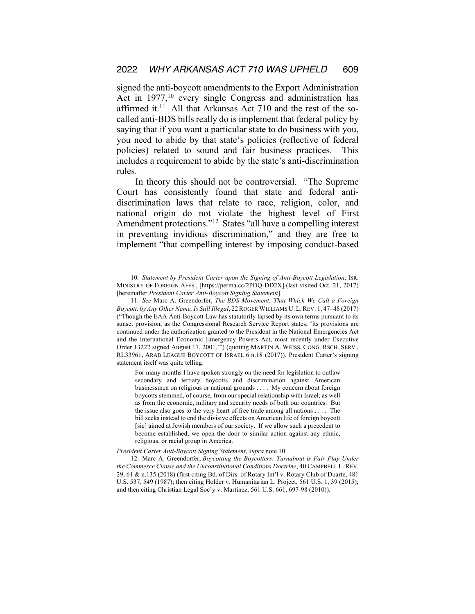signed the anti-boycott amendments to the Export Administration Act in 1977,<sup>10</sup> every single Congress and administration has affirmed it.<sup>11</sup> All that Arkansas Act 710 and the rest of the socalled anti-BDS bills really do is implement that federal policy by saying that if you want a particular state to do business with you, you need to abide by that state's policies (reflective of federal policies) related to sound and fair business practices. This includes a requirement to abide by the state's anti-discrimination rules.

In theory this should not be controversial. "The Supreme Court has consistently found that state and federal antidiscrimination laws that relate to race, religion, color, and national origin do not violate the highest level of First Amendment protections."12 States "all have a compelling interest in preventing invidious discrimination," and they are free to implement "that compelling interest by imposing conduct-based

For many months I have spoken strongly on the need for legislation to outlaw secondary and tertiary boycotts and discrimination against American businessmen on religious or national grounds . . . . My concern about foreign boycotts stemmed, of course, from our special relationship with Israel, as well as from the economic, military and security needs of both our countries. But the issue also goes to the very heart of free trade among all nations . . . . The bill seeks instead to end the divisive effects on American life of foreign boycott [sic] aimed at Jewish members of our society. If we allow such a precedent to become established, we open the door to similar action against any ethnic, religious, or racial group in America.

#### *President Carter Anti-Boycott Signing Statement*, *supra* note 10.

12. Marc A. Greendorfer, *Boycotting the Boycotters: Turnabout is Fair Play Under the Commerce Clause and the Unconstitutional Conditions Doctrine*, 40 CAMPBELL L. REV. 29, 61 & n.135 (2018) (first citing Bd. of Dirs. of Rotary Int'l v. Rotary Club of Duarte, 481 U.S. 537, 549 (1987); then citing Holder v. Humanitarian L. Project, 561 U.S. 1, 39 (2015); and then citing Christian Legal Soc'y v. Martinez, 561 U.S. 661, 697-98 (2010)).

<sup>10</sup>*. Statement by President Carter upon the Signing of Anti-Boycott Legislation*, ISR. MINISTRY OF FOREIGN AFFS., [https://perma.cc/2PDQ-DD2X] (last visited Oct. 21, 2017) [hereinafter *President Carter Anti-Boycott Signing Statement*].

<sup>11</sup>*. See* Marc A. Greendorfer, *The BDS Movement: That Which We Call a Foreign Boycott, by Any Other Name, Is Still Illegal*, 22ROGER WILLIAMS U. L.REV. 1, 47–48 (2017) ("Though the EAA Anti-Boycott Law has statutorily lapsed by its own terms pursuant to its sunset provision, as the Congressional Research Service Report states, 'its provisions are continued under the authorization granted to the President in the National Emergencies Act and the International Economic Emergency Powers Act, most recently under Executive Order 13222 signed August 17, 2001.'") (quoting MARTIN A. WEISS, CONG. RSCH. SERV., RL33961, ARAB LEAGUE BOYCOTT OF ISRAEL 6 n.18 (2017)). President Carter's signing statement itself was quite telling: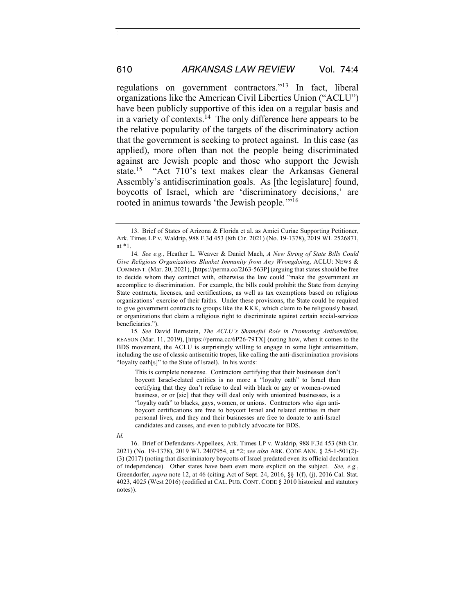regulations on government contractors."13 In fact, liberal organizations like the American Civil Liberties Union ("ACLU") have been publicly supportive of this idea on a regular basis and in a variety of contexts.14 The only difference here appears to be the relative popularity of the targets of the discriminatory action that the government is seeking to protect against. In this case (as applied), more often than not the people being discriminated against are Jewish people and those who support the Jewish state.15 "Act 710's text makes clear the Arkansas General Assembly's antidiscrimination goals. As [the legislature] found, boycotts of Israel, which are 'discriminatory decisions,' are rooted in animus towards 'the Jewish people.'"<sup>16</sup>

15*. See* David Bernstein, *The ACLU's Shameful Role in Promoting Antisemitism*, REASON (Mar. 11, 2019), [https://perma.cc/6P26-79TX] (noting how, when it comes to the BDS movement, the ACLU is surprisingly willing to engage in some light antisemitism, including the use of classic antisemitic tropes, like calling the anti-discrimination provisions "loyalty oath[s]" to the State of Israel). In his words:

This is complete nonsense. Contractors certifying that their businesses don't boycott Israel-related entities is no more a "loyalty oath" to Israel than certifying that they don't refuse to deal with black or gay or women-owned business, or or [sic] that they will deal only with unionized businesses, is a "loyalty oath" to blacks, gays, women, or unions. Contractors who sign antiboycott certifications are free to boycott Israel and related entities in their personal lives, and they and their businesses are free to donate to anti-Israel candidates and causes, and even to publicly advocate for BDS.

16. Brief of Defendants-Appellees, Ark. Times LP v. Waldrip, 988 F.3d 453 (8th Cir. 2021) (No. 19-1378), 2019 WL 2407954, at \*2; *see also* ARK. CODE ANN. § 25-1-501(2)- (3) (2017) (noting that discriminatory boycotts of Israel predated even its official declaration of independence). Other states have been even more explicit on the subject. *See, e.g.*, Greendorfer, *supra* note 12, at 46 (citing Act of Sept. 24, 2016, §§ 1(f), (j), 2016 Cal. Stat. 4023, 4025 (West 2016) (codified at CAL. PUB. CONT. CODE § 2010 historical and statutory notes)).

<sup>13.</sup> Brief of States of Arizona & Florida et al. as Amici Curiae Supporting Petitioner, Ark. Times LP v. Waldrip, 988 F.3d 453 (8th Cir. 2021) (No. 19-1378), 2019 WL 2526871, at \*1.

<sup>14</sup>*. See e.g.*, Heather L. Weaver & Daniel Mach, *A New String of State Bills Could Give Religious Organizations Blanket Immunity from Any Wrongdoing*, ACLU: NEWS & COMMENT. (Mar. 20, 2021), [https://perma.cc/2J63-563P] (arguing that states should be free to decide whom they contract with, otherwise the law could "make the government an accomplice to discrimination. For example, the bills could prohibit the State from denying State contracts, licenses, and certifications, as well as tax exemptions based on religious organizations' exercise of their faiths. Under these provisions, the State could be required to give government contracts to groups like the KKK, which claim to be religiously based, or organizations that claim a religious right to discriminate against certain social-services beneficiaries.").

*Id.*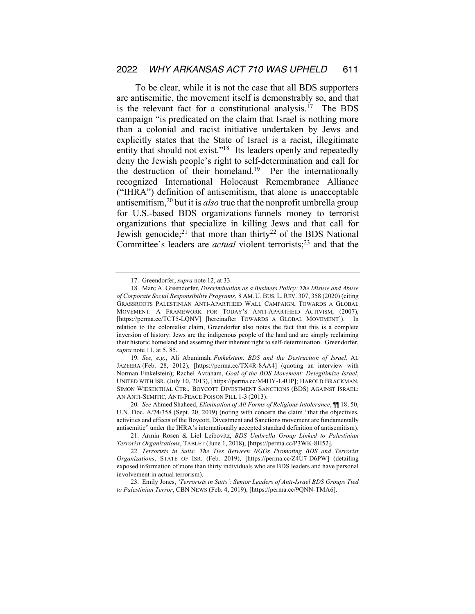To be clear, while it is not the case that all BDS supporters are antisemitic, the movement itself is demonstrably so, and that is the relevant fact for a constitutional analysis.<sup>17</sup> The BDS campaign "is predicated on the claim that Israel is nothing more than a colonial and racist initiative undertaken by Jews and explicitly states that the State of Israel is a racist, illegitimate entity that should not exist."<sup>18</sup> Its leaders openly and repeatedly deny the Jewish people's right to self-determination and call for the destruction of their homeland.<sup>19</sup> Per the internationally recognized International Holocaust Remembrance Alliance ("IHRA") definition of antisemitism, that alone is unacceptable antisemitism,20 but it is *also* true that the nonprofit umbrella group for U.S.-based BDS organizations funnels money to terrorist organizations that specialize in killing Jews and that call for Jewish genocide;<sup>21</sup> that more than thirty<sup>22</sup> of the BDS National Committee's leaders are *actual* violent terrorists;<sup>23</sup> and that the

19*. See, e.g.*, Ali Abunimah, *Finkelstein, BDS and the Destruction of Israel*, AL JAZEERA (Feb. 28, 2012), [https://perma.cc/TX4R-8AA4] (quoting an interview with Norman Finkelstein); Rachel Avraham, *Goal of the BDS Movement: Delegitimize Israel*, UNITED WITH ISR. (July 10, 2013), [https://perma.cc/M4HY-L4UP]; HAROLD BRACKMAN, SIMON WIESENTHAL CTR., BOYCOTT DIVESTMENT SANCTIONS (BDS) AGAINST ISRAEL: AN ANTI-SEMITIC, ANTI-PEACE POISON PILL 1-3 (2013).

20*. See* Ahmed Shaheed, *Elimination of All Forms of Religious Intolerance*, ¶¶ 18, 50, U.N. Doc. A/74/358 (Sept. 20, 2019) (noting with concern the claim "that the objectives, activities and effects of the Boycott, Divestment and Sanctions movement are fundamentally antisemitic" under the IHRA's internationally accepted standard definition of antisemitism).

21. Armin Rosen & Liel Leibovitz, *BDS Umbrella Group Linked to Palestinian Terrorist Organizations*, TABLET (June 1, 2018), [https://perma.cc/P3WK-8H52].

23. Emily Jones, *'Terrorists in Suits': Senior Leaders of Anti-Israel BDS Groups Tied to Palestinian Terror*, CBN NEWS (Feb. 4, 2019), [https://perma.cc/9QNN-TMA6].

<sup>17.</sup> Greendorfer, *supra* note 12, at 33.

<sup>18.</sup> Marc A. Greendorfer, *Discrimination as a Business Policy: The Misuse and Abuse of Corporate Social Responsibility Programs*, 8 AM. U. BUS. L. REV. 307, 358 (2020) (citing GRASSROOTS PALESTINIAN ANTI-APARTHEID WALL CAMPAIGN, TOWARDS A GLOBAL MOVEMENT: A FRAMEWORK FOR TODAY'S ANTI-APARTHEID ACTIVISM, (2007), [https://perma.cc/TCT5-LQNV] [hereinafter TOWARDS A GLOBAL MOVEMENT]). In relation to the colonialist claim, Greendorfer also notes the fact that this is a complete inversion of history: Jews are the indigenous people of the land and are simply reclaiming their historic homeland and asserting their inherent right to self-determination. Greendorfer, *supra* note 11, at 5, 85.

<sup>22</sup>*. Terrorists in Suits: The Ties Between NGOs Promoting BDS and Terrorist Organizations*, STATE OF ISR. (Feb. 2019), [https://perma.cc/Z4U7-D6PW] (detailing exposed information of more than thirty individuals who are BDS leaders and have personal involvement in actual terrorism).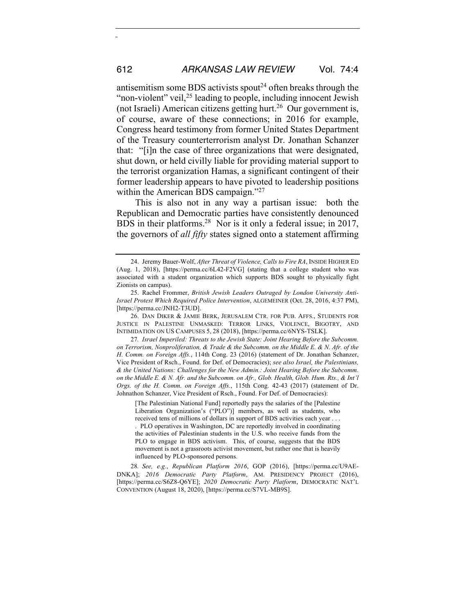antisemitism some BDS activists spout<sup>24</sup> often breaks through the "non-violent" veil,<sup>25</sup> leading to people, including innocent Jewish (not Israeli) American citizens getting hurt.<sup>26</sup> Our government is, of course, aware of these connections; in 2016 for example, Congress heard testimony from former United States Department of the Treasury counterterrorism analyst Dr. Jonathan Schanzer that: "[i]n the case of three organizations that were designated, shut down, or held civilly liable for providing material support to the terrorist organization Hamas, a significant contingent of their former leadership appears to have pivoted to leadership positions within the American BDS campaign."<sup>27</sup>

This is also not in any way a partisan issue: both the Republican and Democratic parties have consistently denounced BDS in their platforms.28 Nor is it only a federal issue; in 2017, the governors of *all fifty* states signed onto a statement affirming

27*. Israel Imperiled: Threats to the Jewish State: Joint Hearing Before the Subcomm. on Terrorism, Nonproliferation, & Trade & the Subcomm. on the Middle E. & N. Afr. of the H. Comm. on Foreign Affs.*, 114th Cong. 23 (2016) (statement of Dr. Jonathan Schanzer, Vice President of Rsch., Found. for Def. of Democracies); *see also Israel, the Palestinians, & the United Nations: Challenges for the New Admin.: Joint Hearing Before the Subcomm. on the Middle E. & N. Afr. and the Subcomm. on Afr., Glob. Health, Glob. Hum. Rts., & Int'l Orgs. of the H. Comm. on Foreign Affs.*, 115th Cong. 42-43 (2017) (statement of Dr. Johnathon Schanzer, Vice President of Rsch., Found. For Def. of Democracies):

[The Palestinian National Fund] reportedly pays the salaries of the [Palestine Liberation Organization's ("PLO")] members, as well as students, who received tens of millions of dollars in support of BDS activities each year . . . . PLO operatives in Washington, DC are reportedly involved in coordinating the activities of Palestinian students in the U.S. who receive funds from the PLO to engage in BDS activism. This, of course, suggests that the BDS movement is not a grassroots activist movement, but rather one that is heavily influenced by PLO-sponsored persons.

28*. See, e.g.*, *Republican Platform 2016*, GOP (2016), [https://perma.cc/U9AE-DNKA]; *2016 Democratic Party Platform*, AM. PRESIDENCY PROJECT (2016), [https://perma.cc/S6Z8-Q6YE]; *2020 Democratic Party Platform*, DEMOCRATIC NAT'L CONVENTION (August 18, 2020), [https://perma.cc/S7VL-MB9S].

<sup>24.</sup> Jeremy Bauer-Wolf, *After Threat of Violence, Calls to Fire RA*, INSIDE HIGHER ED (Aug. 1, 2018), [https://perma.cc/6L42-F2VG] (stating that a college student who was associated with a student organization which supports BDS sought to physically fight Zionists on campus).

<sup>25.</sup> Rachel Frommer, *British Jewish Leaders Outraged by London University Anti-Israel Protest Which Required Police Intervention*, ALGEMEINER (Oct. 28, 2016, 4:37 PM), [https://perma.cc/JNH2-T3UD].

<sup>26.</sup> DAN DIKER & JAMIE BERK, JERUSALEM CTR. FOR PUB. AFFS., STUDENTS FOR JUSTICE IN PALESTINE UNMASKED: TERROR LINKS, VIOLENCE, BIGOTRY, AND INTIMIDATION ON US CAMPUSES 5, 28 (2018), [https://perma.cc/6NYS-TSLK].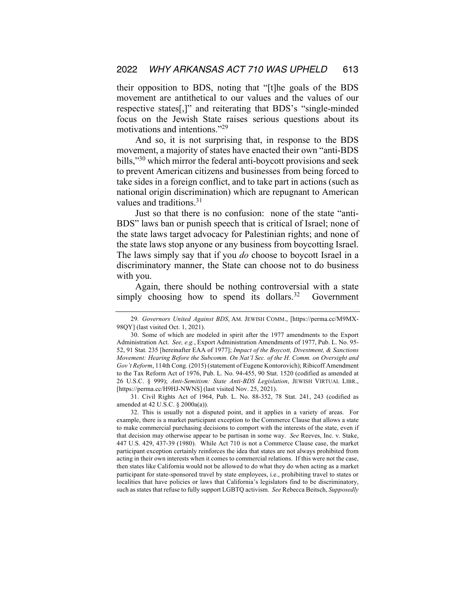their opposition to BDS, noting that "[t]he goals of the BDS movement are antithetical to our values and the values of our respective states[,]" and reiterating that BDS's "single-minded focus on the Jewish State raises serious questions about its motivations and intentions."29

And so, it is not surprising that, in response to the BDS movement, a majority of states have enacted their own "anti-BDS bills,"30 which mirror the federal anti-boycott provisions and seek to prevent American citizens and businesses from being forced to take sides in a foreign conflict, and to take part in actions (such as national origin discrimination) which are repugnant to American values and traditions.<sup>31</sup>

Just so that there is no confusion: none of the state "anti-BDS" laws ban or punish speech that is critical of Israel; none of the state laws target advocacy for Palestinian rights; and none of the state laws stop anyone or any business from boycotting Israel. The laws simply say that if you *do* choose to boycott Israel in a discriminatory manner, the State can choose not to do business with you.

Again, there should be nothing controversial with a state simply choosing how to spend its dollars.<sup>32</sup> Government

<sup>29</sup>*. Governors United Against BDS*, AM. JEWISH COMM., [https://perma.cc/M9MX-98QY] (last visited Oct. 1, 2021).

<sup>30.</sup> Some of which are modeled in spirit after the 1977 amendments to the Export Administration Act. *See, e.g.*, Export Administration Amendments of 1977, Pub. L. No. 95- 52, 91 Stat. 235 [hereinafter EAA of 1977]; *Impact of the Boycott, Divestment, & Sanctions Movement: Hearing Before the Subcomm. On Nat'l Sec. of the H. Comm. on Oversight and Gov't Reform*, 114th Cong. (2015) (statement of Eugene Kontorovich); Ribicoff Amendment to the Tax Reform Act of 1976, Pub. L. No. 94-455, 90 Stat. 1520 (codified as amended at 26 U.S.C. § 999); *Anti-Semitism: State Anti-BDS Legislation*, JEWISH VIRTUAL LIBR., [https://perma.cc/H9HJ-NWNS] (last visited Nov. 25, 2021).

<sup>31.</sup> Civil Rights Act of 1964, Pub. L. No. 88-352, 78 Stat. 241, 243 (codified as amended at 42 U.S.C. § 2000a(a)).

<sup>32.</sup> This is usually not a disputed point, and it applies in a variety of areas. For example, there is a market participant exception to the Commerce Clause that allows a state to make commercial purchasing decisions to comport with the interests of the state, even if that decision may otherwise appear to be partisan in some way. *See* Reeves, Inc. v. Stake, 447 U.S. 429, 437-39 (1980). While Act 710 is not a Commerce Clause case, the market participant exception certainly reinforces the idea that states are not always prohibited from acting in their own interests when it comes to commercial relations. If this were not the case, then states like California would not be allowed to do what they do when acting as a market participant for state-sponsored travel by state employees, i.e., prohibiting travel to states or localities that have policies or laws that California's legislators find to be discriminatory, such as states that refuse to fully support LGBTQ activism. *See* Rebecca Beitsch, *Supposedly*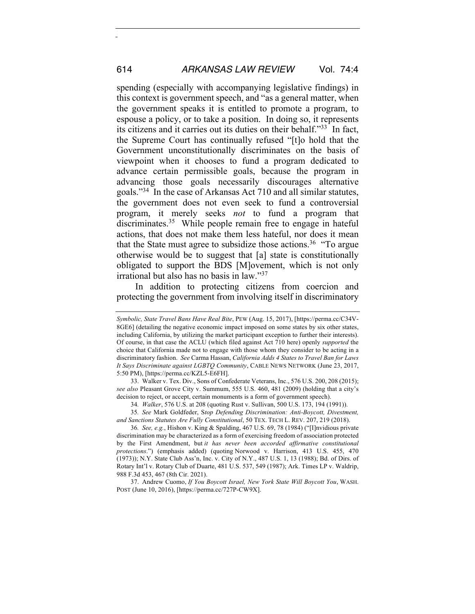spending (especially with accompanying legislative findings) in this context is government speech, and "as a general matter, when the government speaks it is entitled to promote a program, to espouse a policy, or to take a position. In doing so, it represents its citizens and it carries out its duties on their behalf."33 In fact, the Supreme Court has continually refused "[t]o hold that the Government unconstitutionally discriminates on the basis of viewpoint when it chooses to fund a program dedicated to advance certain permissible goals, because the program in advancing those goals necessarily discourages alternative goals."34 In the case of Arkansas Act 710 and all similar statutes, the government does not even seek to fund a controversial program, it merely seeks *not* to fund a program that discriminates.<sup>35</sup> While people remain free to engage in hateful actions, that does not make them less hateful, nor does it mean that the State must agree to subsidize those actions.<sup>36</sup> "To argue otherwise would be to suggest that [a] state is constitutionally obligated to support the BDS [M]ovement, which is not only irrational but also has no basis in law."37

In addition to protecting citizens from coercion and protecting the government from involving itself in discriminatory

37. Andrew Cuomo, *If You Boycott Israel, New York State Will Boycott You*, WASH. POST (June 10, 2016), [https://perma.cc/727P-CW9X].

*Symbolic, State Travel Bans Have Real Bite*, PEW (Aug. 15, 2017), [https://perma.cc/C34V-8GE6] (detailing the negative economic impact imposed on some states by six other states, including California, by utilizing the market participant exception to further their interests). Of course, in that case the ACLU (which filed against Act 710 here) openly *supported* the choice that California made not to engage with those whom they consider to be acting in a discriminatory fashion. *See* Carma Hassan, *California Adds 4 States to Travel Ban for Laws It Says Discriminate against LGBTQ Community*, CABLE NEWS NETWORK (June 23, 2017, 5:50 PM), [https://perma.cc/KZL5-E6FH].

<sup>33.</sup> Walker v. Tex. Div., Sons of Confederate Veterans, Inc., 576 U.S. 200, 208 (2015); *see also* Pleasant Grove City v. Summum, 555 U.S. 460, 481 (2009) (holding that a city's decision to reject, or accept, certain monuments is a form of government speech).

<sup>34</sup>*. Walker*, 576 U.S. at 208 (quoting Rust v. Sullivan, 500 U.S. 173, 194 (1991)).

<sup>35</sup>*. See* Mark Goldfeder, S*top Defending Discrimination: Anti-Boycott, Divestment, and Sanctions Statutes Are Fully Constitutional*, 50 TEX. TECH L. REV. 207, 219 (2018).

<sup>36</sup>*. See, e.g.*, Hishon v. King & Spalding, 467 U.S. 69, 78 (1984) ("[I]nvidious private discrimination may be characterized as a form of exercising freedom of association protected by the First Amendment, but *it has never been accorded affirmative constitutional protections*.") (emphasis added) (quoting Norwood v. Harrison, 413 U.S. 455, 470 (1973)); N.Y. State Club Ass'n, Inc. v. City of N.Y., 487 U.S. 1, 13 (1988); Bd. of Dirs. of Rotary Int'l v. Rotary Club of Duarte, 481 U.S. 537, 549 (1987); Ark. Times LP v. Waldrip, 988 F.3d 453, 467 (8th Cir. 2021).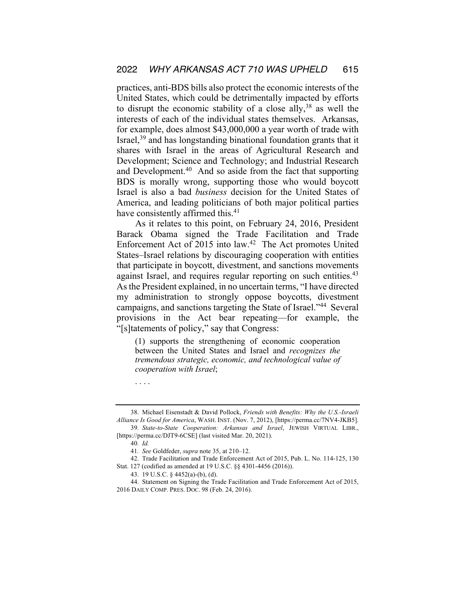practices, anti-BDS bills also protect the economic interests of the United States, which could be detrimentally impacted by efforts to disrupt the economic stability of a close ally,  $38$  as well the interests of each of the individual states themselves. Arkansas, for example, does almost \$43,000,000 a year worth of trade with Israel,39 and has longstanding binational foundation grants that it shares with Israel in the areas of Agricultural Research and Development; Science and Technology; and Industrial Research and Development.40 And so aside from the fact that supporting BDS is morally wrong, supporting those who would boycott Israel is also a bad *business* decision for the United States of America, and leading politicians of both major political parties have consistently affirmed this.<sup>41</sup>

As it relates to this point, on February 24, 2016, President Barack Obama signed the Trade Facilitation and Trade Enforcement Act of 2015 into law.<sup>42</sup> The Act promotes United States–Israel relations by discouraging cooperation with entities that participate in boycott, divestment, and sanctions movements against Israel, and requires regular reporting on such entities.<sup>43</sup> As the President explained, in no uncertain terms, "I have directed my administration to strongly oppose boycotts, divestment campaigns, and sanctions targeting the State of Israel."44 Several provisions in the Act bear repeating—for example, the "[s]tatements of policy," say that Congress:

(1) supports the strengthening of economic cooperation between the United States and Israel and *recognizes the tremendous strategic, economic, and technological value of cooperation with Israel*;

. . . .

<sup>38.</sup> Michael Eisenstadt & David Pollock, *Friends with Benefits: Why the U.S.-Israeli Alliance Is Good for America*, WASH. INST. (Nov. 7, 2012), [https://perma.cc/7NV4-JKB5].

<sup>39</sup>*. State-to-State Cooperation: Arkansas and Israel*, JEWISH VIRTUAL LIBR., [https://perma.cc/DJT9-6CSE] (last visited Mar. 20, 2021).

<sup>40</sup>*. Id.*

<sup>41</sup>*. See* Goldfeder, *supra* note 35, at 210–12.

<sup>42.</sup> Trade Facilitation and Trade Enforcement Act of 2015, Pub. L. No. 114-125, 130 Stat. 127 (codified as amended at 19 U.S.C. §§ 4301-4456 (2016)).

<sup>43.</sup> 19 U.S.C. § 4452(a)-(b), (d).

<sup>44.</sup> Statement on Signing the Trade Facilitation and Trade Enforcement Act of 2015, 2016 DAILY COMP. PRES. DOC. 98 (Feb. 24, 2016).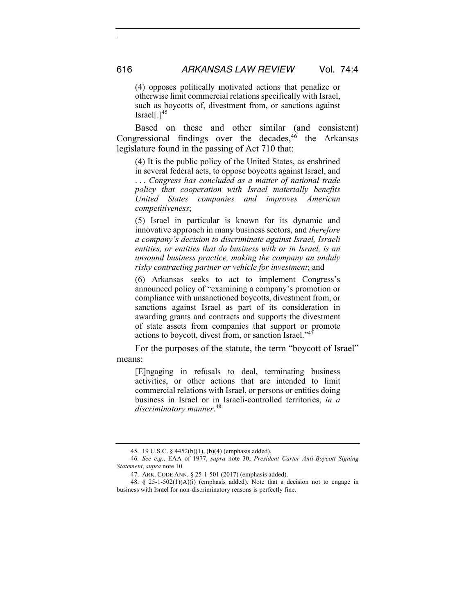(4) opposes politically motivated actions that penalize or otherwise limit commercial relations specifically with Israel, such as boycotts of, divestment from, or sanctions against Israel[ $.]^{45}$ 

Based on these and other similar (and consistent) Congressional findings over the decades, $46$  the Arkansas legislature found in the passing of Act 710 that:

(4) It is the public policy of the United States, as enshrined in several federal acts, to oppose boycotts against Israel, and . . . *Congress has concluded as a matter of national trade policy that cooperation with Israel materially benefits United States companies and improves American competitiveness*;

(5) Israel in particular is known for its dynamic and innovative approach in many business sectors, and *therefore a company's decision to discriminate against Israel, Israeli entities, or entities that do business with or in Israel, is an unsound business practice, making the company an unduly risky contracting partner or vehicle for investment*; and

(6) Arkansas seeks to act to implement Congress's announced policy of "examining a company's promotion or compliance with unsanctioned boycotts, divestment from, or sanctions against Israel as part of its consideration in awarding grants and contracts and supports the divestment of state assets from companies that support or promote actions to boycott, divest from, or sanction Israel."<sup>4</sup>

For the purposes of the statute, the term "boycott of Israel" means:

[E]ngaging in refusals to deal, terminating business activities, or other actions that are intended to limit commercial relations with Israel, or persons or entities doing business in Israel or in Israeli-controlled territories, *in a discriminatory manner*. 48

<sup>45.</sup> 19 U.S.C. § 4452(b)(1), (b)(4) (emphasis added).

<sup>46</sup>*. See e.g.*, EAA of 1977, *supra* note 30; *President Carter Anti-Boycott Signing Statement*, *supra* note 10.

<sup>47.</sup> ARK. CODE ANN. § 25-1-501 (2017) (emphasis added).

<sup>48.</sup> § 25-1-502(1)(A)(i) (emphasis added). Note that a decision not to engage in business with Israel for non-discriminatory reasons is perfectly fine.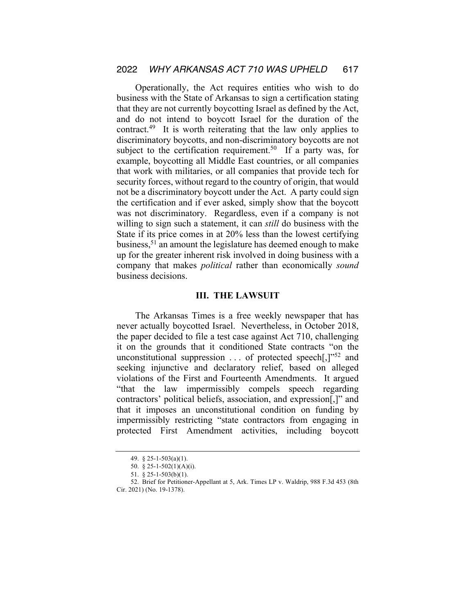Operationally, the Act requires entities who wish to do business with the State of Arkansas to sign a certification stating that they are not currently boycotting Israel as defined by the Act, and do not intend to boycott Israel for the duration of the contract.49 It is worth reiterating that the law only applies to discriminatory boycotts, and non-discriminatory boycotts are not subject to the certification requirement.<sup>50</sup> If a party was, for example, boycotting all Middle East countries, or all companies that work with militaries, or all companies that provide tech for security forces, without regard to the country of origin, that would not be a discriminatory boycott under the Act. A party could sign the certification and if ever asked, simply show that the boycott was not discriminatory. Regardless, even if a company is not willing to sign such a statement, it can *still* do business with the State if its price comes in at 20% less than the lowest certifying business,51 an amount the legislature has deemed enough to make up for the greater inherent risk involved in doing business with a company that makes *political* rather than economically *sound* business decisions.

### **III. THE LAWSUIT**

The Arkansas Times is a free weekly newspaper that has never actually boycotted Israel. Nevertheless, in October 2018, the paper decided to file a test case against Act 710, challenging it on the grounds that it conditioned State contracts "on the unconstitutional suppression  $\ldots$  of protected speech[,]"<sup>52</sup> and seeking injunctive and declaratory relief, based on alleged violations of the First and Fourteenth Amendments. It argued "that the law impermissibly compels speech regarding contractors' political beliefs, association, and expression[,]" and that it imposes an unconstitutional condition on funding by impermissibly restricting "state contractors from engaging in protected First Amendment activities, including boycott

<sup>49.</sup> § 25-1-503(a)(1).

<sup>50.</sup> § 25-1-502(1)(A)(i).

<sup>51.</sup> § 25-1-503(b)(1).

<sup>52.</sup> Brief for Petitioner-Appellant at 5, Ark. Times LP v. Waldrip, 988 F.3d 453 (8th Cir. 2021) (No. 19-1378).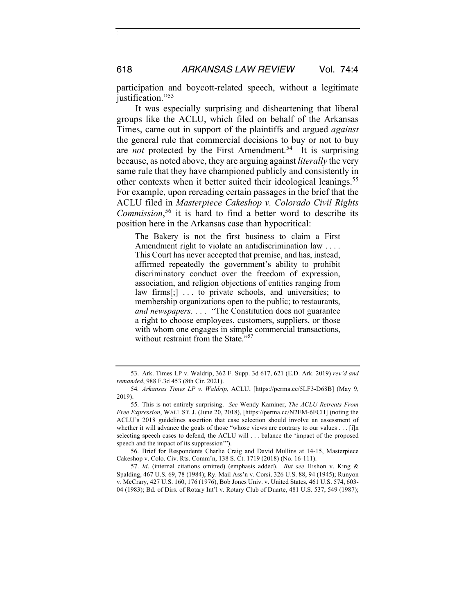participation and boycott-related speech, without a legitimate justification."<sup>53</sup>

It was especially surprising and disheartening that liberal groups like the ACLU, which filed on behalf of the Arkansas Times, came out in support of the plaintiffs and argued *against* the general rule that commercial decisions to buy or not to buy are *not* protected by the First Amendment.<sup>54</sup> It is surprising because, as noted above, they are arguing against *literally* the very same rule that they have championed publicly and consistently in other contexts when it better suited their ideological leanings.<sup>55</sup> For example, upon rereading certain passages in the brief that the ACLU filed in *Masterpiece Cakeshop v. Colorado Civil Rights Commission*, <sup>56</sup> it is hard to find a better word to describe its position here in the Arkansas case than hypocritical:

The Bakery is not the first business to claim a First Amendment right to violate an antidiscrimination law . . . . This Court has never accepted that premise, and has, instead, affirmed repeatedly the government's ability to prohibit discriminatory conduct over the freedom of expression, association, and religion objections of entities ranging from law firms[;] ... to private schools, and universities; to membership organizations open to the public; to restaurants, *and newspapers*. . . . "The Constitution does not guarantee a right to choose employees, customers, suppliers, or those with whom one engages in simple commercial transactions, without restraint from the State."<sup>57</sup>

56. Brief for Respondents Charlie Craig and David Mullins at 14-15, Masterpiece Cakeshop v. Colo. Civ. Rts. Comm'n, 138 S. Ct. 1719 (2018) (No. 16-111).

<sup>53.</sup> Ark. Times LP v. Waldrip, 362 F. Supp. 3d 617, 621 (E.D. Ark. 2019) *rev'd and remanded*, 988 F.3d 453 (8th Cir. 2021).

<sup>54</sup>*. Arkansas Times LP v. Waldrip*, ACLU, [https://perma.cc/5LF3-D68B] (May 9, 2019).

<sup>55.</sup> This is not entirely surprising. *See* Wendy Kaminer, *The ACLU Retreats From Free Expression*, WALL ST. J. (June 20, 2018), [https://perma.cc/N2EM-6FCH] (noting the ACLU's 2018 guidelines assertion that case selection should involve an assessment of whether it will advance the goals of those "whose views are contrary to our values . . . [i]n selecting speech cases to defend, the ACLU will . . . balance the 'impact of the proposed speech and the impact of its suppression'").

<sup>57.</sup> *Id*. (internal citations omitted) (emphasis added). *But see* Hishon v. King & Spalding, 467 U.S. 69, 78 (1984); Ry. Mail Ass'n v. Corsi, 326 U.S. 88, 94 (1945); Runyon v. McCrary, 427 U.S. 160, 176 (1976), Bob Jones Univ. v. United States, 461 U.S. 574, 603- 04 (1983); Bd. of Dirs. of Rotary Int'l v. Rotary Club of Duarte, 481 U.S. 537, 549 (1987);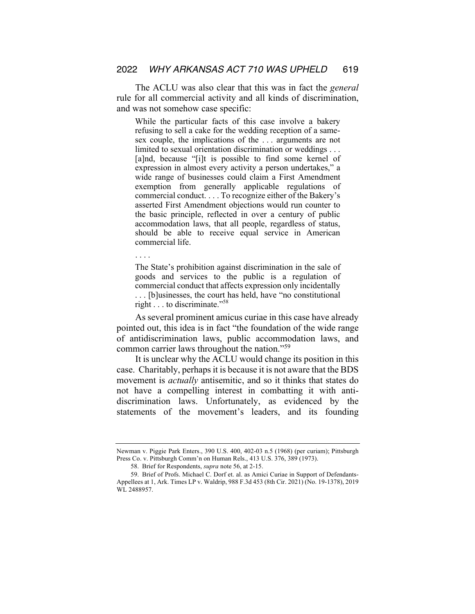The ACLU was also clear that this was in fact the *general* rule for all commercial activity and all kinds of discrimination, and was not somehow case specific:

While the particular facts of this case involve a bakery refusing to sell a cake for the wedding reception of a samesex couple, the implications of the . . . arguments are not limited to sexual orientation discrimination or weddings . . . [a]nd, because "[i]t is possible to find some kernel of expression in almost every activity a person undertakes," a wide range of businesses could claim a First Amendment exemption from generally applicable regulations of commercial conduct. . . . To recognize either of the Bakery's asserted First Amendment objections would run counter to the basic principle, reflected in over a century of public accommodation laws, that all people, regardless of status, should be able to receive equal service in American commercial life.

. . . .

The State's prohibition against discrimination in the sale of goods and services to the public is a regulation of commercial conduct that affects expression only incidentally . . . [b]usinesses, the court has held, have "no constitutional right . . . to discriminate."58

As several prominent amicus curiae in this case have already pointed out, this idea is in fact "the foundation of the wide range of antidiscrimination laws, public accommodation laws, and common carrier laws throughout the nation."59

It is unclear why the ACLU would change its position in this case. Charitably, perhaps it is because it is not aware that the BDS movement is *actually* antisemitic, and so it thinks that states do not have a compelling interest in combatting it with antidiscrimination laws. Unfortunately, as evidenced by the statements of the movement's leaders, and its founding

Newman v. Piggie Park Enters., 390 U.S. 400, 402-03 n.5 (1968) (per curiam); Pittsburgh Press Co. v. Pittsburgh Comm'n on Human Rels., 413 U.S. 376, 389 (1973).

<sup>58.</sup> Brief for Respondents, *supra* note 56, at 2-15.

<sup>59.</sup> Brief of Profs. Michael C. Dorf et. al. as Amici Curiae in Support of Defendants-Appellees at 1, Ark. Times LP v. Waldrip, 988 F.3d 453 (8th Cir. 2021) (No. 19-1378), 2019 WL 2488957.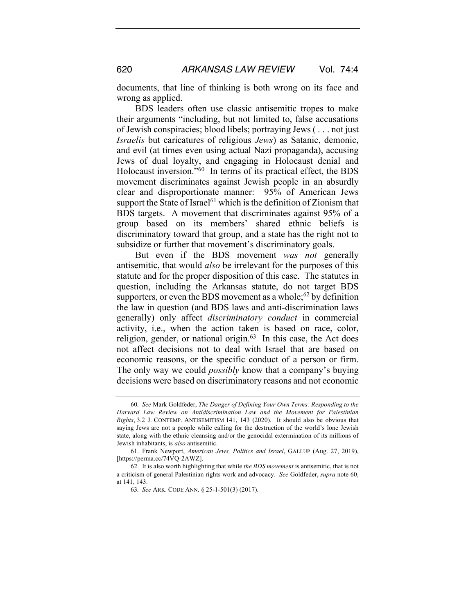documents, that line of thinking is both wrong on its face and wrong as applied.

BDS leaders often use classic antisemitic tropes to make their arguments "including, but not limited to, false accusations of Jewish conspiracies; blood libels; portraying Jews ( . . . not just *Israelis* but caricatures of religious *Jews*) as Satanic, demonic, and evil (at times even using actual Nazi propaganda), accusing Jews of dual loyalty, and engaging in Holocaust denial and Holocaust inversion."60 In terms of its practical effect, the BDS movement discriminates against Jewish people in an absurdly clear and disproportionate manner: 95% of American Jews support the State of Israel<sup> $61$ </sup> which is the definition of Zionism that BDS targets. A movement that discriminates against 95% of a group based on its members' shared ethnic beliefs is discriminatory toward that group, and a state has the right not to subsidize or further that movement's discriminatory goals.

But even if the BDS movement *was not* generally antisemitic, that would *also* be irrelevant for the purposes of this statute and for the proper disposition of this case. The statutes in question, including the Arkansas statute, do not target BDS supporters, or even the BDS movement as a whole;<sup>62</sup> by definition the law in question (and BDS laws and anti-discrimination laws generally) only affect *discriminatory conduct* in commercial activity, i.e., when the action taken is based on race, color, religion, gender, or national origin. $63$  In this case, the Act does not affect decisions not to deal with Israel that are based on economic reasons, or the specific conduct of a person or firm. The only way we could *possibly* know that a company's buying decisions were based on discriminatory reasons and not economic

<sup>60</sup>*. See* Mark Goldfeder, *The Danger of Defining Your Own Terms: Responding to the Harvard Law Review on Antidiscrimination Law and the Movement for Palestinian Rights*, 3.2 J. CONTEMP. ANTISEMITISM 141, 143 (2020). It should also be obvious that saying Jews are not a people while calling for the destruction of the world's lone Jewish state, along with the ethnic cleansing and/or the genocidal extermination of its millions of Jewish inhabitants, is *also* antisemitic.

<sup>61.</sup> Frank Newport, *American Jews, Politics and Israel*, GALLUP (Aug. 27, 2019), [https://perma.cc/74VQ-2AWZ].

<sup>62.</sup> It is also worth highlighting that while *the BDS movement* is antisemitic, that is not a criticism of general Palestinian rights work and advocacy. *See* Goldfeder, *supra* note 60, at 141, 143.

<sup>63</sup>*. See* ARK. CODE ANN. § 25-1-501(3) (2017).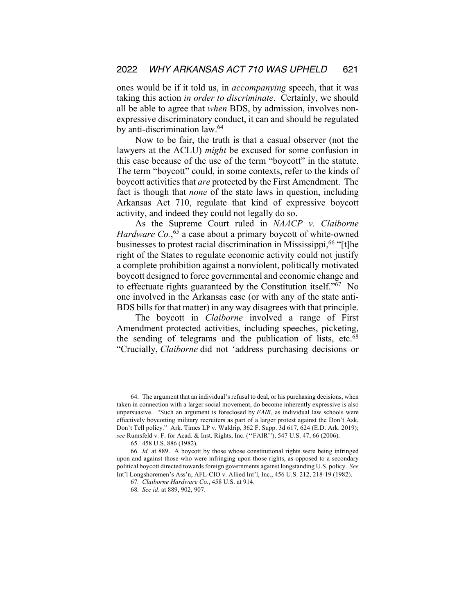ones would be if it told us, in *accompanying* speech, that it was taking this action *in order to discriminate*. Certainly, we should all be able to agree that *when* BDS, by admission, involves nonexpressive discriminatory conduct, it can and should be regulated by anti-discrimination law.64

Now to be fair, the truth is that a casual observer (not the lawyers at the ACLU) *might* be excused for some confusion in this case because of the use of the term "boycott" in the statute. The term "boycott" could, in some contexts, refer to the kinds of boycott activities that *are* protected by the First Amendment. The fact is though that *none* of the state laws in question, including Arkansas Act 710, regulate that kind of expressive boycott activity, and indeed they could not legally do so.

As the Supreme Court ruled in *NAACP v. Claiborne*  Hardware Co.,<sup>65</sup> a case about a primary boycott of white-owned businesses to protest racial discrimination in Mississippi,<sup>66</sup> "[t]he right of the States to regulate economic activity could not justify a complete prohibition against a nonviolent, politically motivated boycott designed to force governmental and economic change and to effectuate rights guaranteed by the Constitution itself."67 No one involved in the Arkansas case (or with any of the state anti-BDS bills for that matter) in any way disagrees with that principle.

The boycott in *Claiborne* involved a range of First Amendment protected activities, including speeches, picketing, the sending of telegrams and the publication of lists, etc. $68$ "Crucially, *Claiborne* did not 'address purchasing decisions or

<sup>64.</sup> The argument that an individual's refusal to deal, or his purchasing decisions, when taken in connection with a larger social movement, do become inherently expressive is also unpersuasive. "Such an argument is foreclosed by *FAIR*, as individual law schools were effectively boycotting military recruiters as part of a larger protest against the Don't Ask, Don't Tell policy." Ark. Times LP v. Waldrip, 362 F. Supp. 3d 617, 624 (E.D. Ark. 2019); *see* Rumsfeld v. F. for Acad. & Inst. Rights, Inc. (''FAIR''), 547 U.S. 47, 66 (2006).

<sup>65.</sup> 458 U.S. 886 (1982).

<sup>66</sup>*. Id.* at 889. A boycott by those whose constitutional rights were being infringed upon and against those who were infringing upon those rights, as opposed to a secondary political boycott directed towards foreign governments against longstanding U.S. policy. *See* Int'l Longshoremen's Ass'n, AFL-CIO v. Allied Int'l, Inc., 456 U.S. 212, 218-19 (1982).

<sup>67</sup>*. Claiborne Hardware Co.*, 458 U.S. at 914.

<sup>68</sup>*. See id*. at 889, 902, 907.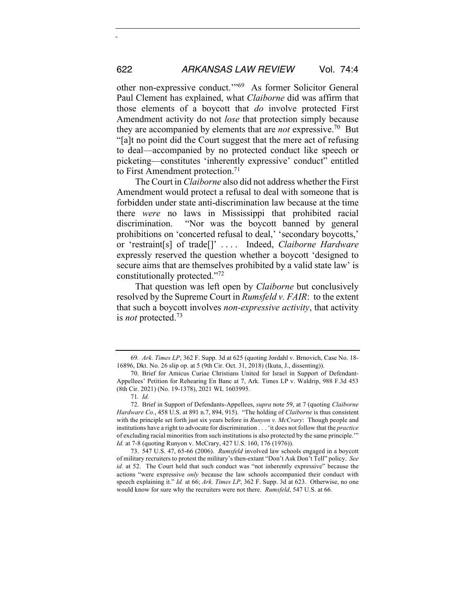other non-expressive conduct.'"69 As former Solicitor General Paul Clement has explained, what *Claiborne* did was affirm that those elements of a boycott that *do* involve protected First Amendment activity do not *lose* that protection simply because they are accompanied by elements that are *not* expressive.70 But "[a]t no point did the Court suggest that the mere act of refusing to deal—accompanied by no protected conduct like speech or picketing—constitutes 'inherently expressive' conduct" entitled to First Amendment protection.<sup>71</sup>

The Court in *Claiborne* also did not address whether the First Amendment would protect a refusal to deal with someone that is forbidden under state anti-discrimination law because at the time there *were* no laws in Mississippi that prohibited racial discrimination. "Nor was the boycott banned by general prohibitions on 'concerted refusal to deal,' 'secondary boycotts,' or 'restraint[s] of trade[]' . . . . Indeed, *Claiborne Hardware* expressly reserved the question whether a boycott 'designed to secure aims that are themselves prohibited by a valid state law' is constitutionally protected."<sup>72</sup>

That question was left open by *Claiborne* but conclusively resolved by the Supreme Court in *Rumsfeld v. FAIR*: to the extent that such a boycott involves *non-expressive activity*, that activity is *not* protected.73

<sup>69</sup>*. Ark. Times LP*, 362 F. Supp. 3d at 625 (quoting Jordahl v. Brnovich, Case No. 18- 16896, Dkt. No. 26 slip op. at 5 (9th Cir. Oct. 31, 2018) (Ikuta, J., dissenting)).

<sup>70.</sup> Brief for Amicus Curiae Christians United for Israel in Support of Defendant-Appellees' Petition for Rehearing En Banc at 7, Ark. Times LP v. Waldrip, 988 F.3d 453 (8th Cir. 2021) (No. 19-1378), 2021 WL 1603995.

<sup>71</sup>*. Id.*

<sup>72.</sup> Brief in Support of Defendants-Appellees, *supra* note 59, at 7 (quoting *Claiborne Hardware Co.*, 458 U.S. at 891 n.7, 894, 915). "The holding of *Claiborne* is thus consistent with the principle set forth just six years before in *Runyon v. McCrary*: Though people and institutions have a right to advocate for discrimination . . . 'it does not follow that the *practice* of excluding racial minorities from such institutions is also protected by the same principle.'" *Id.* at 7-8 (quoting Runyon v. McCrary, 427 U.S. 160, 176 (1976)).

<sup>73.</sup> 547 U.S. 47, 65-66 (2006). *Rumsfeld* involved law schools engaged in a boycott of military recruiters to protest the military's then-extant "Don't Ask Don't Tell" policy. *See id.* at 52. The Court held that such conduct was "not inherently expressive" because the actions "were expressive *only* because the law schools accompanied their conduct with speech explaining it." *Id.* at 66; *Ark. Times LP*, 362 F. Supp. 3d at 623. Otherwise, no one would know for sure why the recruiters were not there. *Rumsfeld*, 547 U.S. at 66.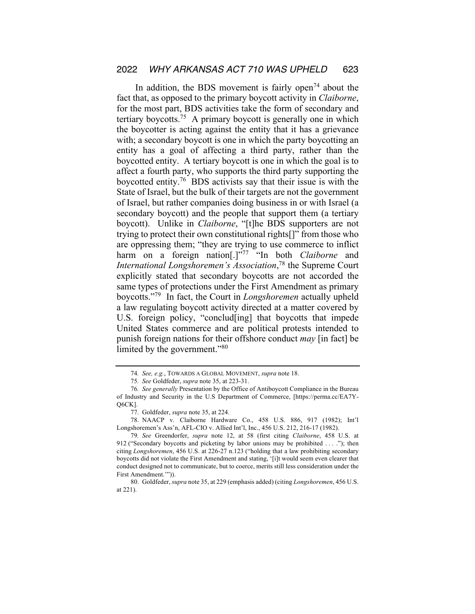In addition, the BDS movement is fairly open<sup> $74$ </sup> about the fact that, as opposed to the primary boycott activity in *Claiborne*, for the most part, BDS activities take the form of secondary and tertiary boycotts.75 A primary boycott is generally one in which the boycotter is acting against the entity that it has a grievance with; a secondary boycott is one in which the party boycotting an entity has a goal of affecting a third party, rather than the boycotted entity. A tertiary boycott is one in which the goal is to affect a fourth party, who supports the third party supporting the boycotted entity.76 BDS activists say that their issue is with the State of Israel, but the bulk of their targets are not the government of Israel, but rather companies doing business in or with Israel (a secondary boycott) and the people that support them (a tertiary boycott). Unlike in *Claiborne*, "[t]he BDS supporters are not trying to protect their own constitutional rights[]" from those who are oppressing them; "they are trying to use commerce to inflict harm on a foreign nation<sup>[1,177</sup> "In both *Claiborne* and *International Longshoremen's Association*, <sup>78</sup> the Supreme Court explicitly stated that secondary boycotts are not accorded the same types of protections under the First Amendment as primary boycotts."79 In fact, the Court in *Longshoremen* actually upheld a law regulating boycott activity directed at a matter covered by U.S. foreign policy, "conclud[ing] that boycotts that impede United States commerce and are political protests intended to punish foreign nations for their offshore conduct *may* [in fact] be limited by the government."<sup>80</sup>

<sup>74</sup>*. See, e.g.*, TOWARDS A GLOBAL MOVEMENT, *supra* note 18.

<sup>75</sup>*. See* Goldfeder, *supra* note 35, at 223-31.

<sup>76</sup>*. See generally* Presentation by the Office of Antiboycott Compliance in the Bureau of Industry and Security in the U.S Department of Commerce, [https://perma.cc/EA7Y-Q6CK].

<sup>77.</sup> Goldfeder, *supra* note 35, at 224.

<sup>78.</sup> NAACP v. Claiborne Hardware Co., 458 U.S. 886, 917 (1982); Int'l Longshoremen's Ass'n, AFL-CIO v. Allied Int'l, Inc., 456 U.S. 212, 216-17 (1982).

<sup>79</sup>*. See* Greendorfer, *supra* note 12, at 58 (first citing *Claiborne*, 458 U.S. at 912 ("Secondary boycotts and picketing by labor unions may be prohibited . . . ."); then citing *Longshoremen*, 456 U.S. at 226-27 n.123 ("holding that a law prohibiting secondary boycotts did not violate the First Amendment and stating, '[i]t would seem even clearer that conduct designed not to communicate, but to coerce, merits still less consideration under the First Amendment.'")).

<sup>80.</sup> Goldfeder, *supra* note 35, at 229 (emphasis added) (citing *Longshoremen*, 456 U.S. at 221).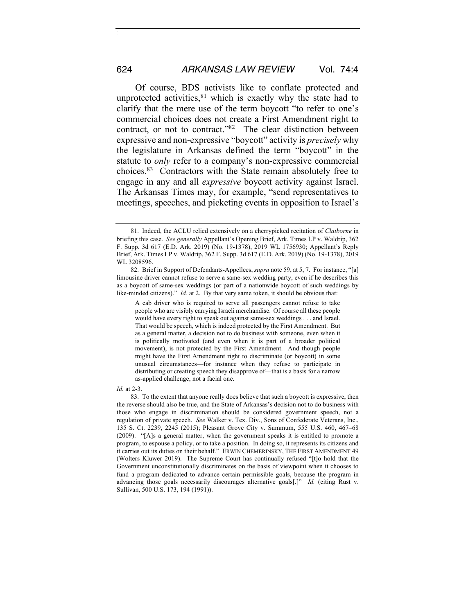Of course, BDS activists like to conflate protected and unprotected activities, $81$  which is exactly why the state had to clarify that the mere use of the term boycott "to refer to one's commercial choices does not create a First Amendment right to contract, or not to contract."82 The clear distinction between expressive and non-expressive "boycott" activity is *precisely* why the legislature in Arkansas defined the term "boycott" in the statute to *only* refer to a company's non-expressive commercial choices.83 Contractors with the State remain absolutely free to engage in any and all *expressive* boycott activity against Israel. The Arkansas Times may, for example, "send representatives to meetings, speeches, and picketing events in opposition to Israel's

A cab driver who is required to serve all passengers cannot refuse to take people who are visibly carrying Israeli merchandise. Of course all these people would have every right to speak out against same-sex weddings . . . and Israel. That would be speech, which is indeed protected by the First Amendment. But as a general matter, a decision not to do business with someone, even when it is politically motivated (and even when it is part of a broader political movement), is not protected by the First Amendment. And though people might have the First Amendment right to discriminate (or boycott) in some unusual circumstances—for instance when they refuse to participate in distributing or creating speech they disapprove of—that is a basis for a narrow as-applied challenge, not a facial one.

#### *Id.* at 2-3.

83. To the extent that anyone really does believe that such a boycott is expressive, then the reverse should also be true, and the State of Arkansas's decision not to do business with those who engage in discrimination should be considered government speech, not a regulation of private speech. *See* Walker v. Tex. Div., Sons of Confederate Veterans, Inc., 135 S. Ct. 2239, 2245 (2015); Pleasant Grove City v. Summum, 555 U.S. 460, 467–68 (2009). "[A]s a general matter, when the government speaks it is entitled to promote a program, to espouse a policy, or to take a position. In doing so, it represents its citizens and it carries out its duties on their behalf." ERWIN CHEMERINSKY, THE FIRST AMENDMENT 49 (Wolters Kluwer 2019). The Supreme Court has continually refused "[t]o hold that the Government unconstitutionally discriminates on the basis of viewpoint when it chooses to fund a program dedicated to advance certain permissible goals, because the program in advancing those goals necessarily discourages alternative goals[.]" *Id.* (citing Rust v. Sullivan, 500 U.S. 173, 194 (1991)).

<sup>81.</sup> Indeed, the ACLU relied extensively on a cherrypicked recitation of *Claiborne* in briefing this case. *See generally* Appellant's Opening Brief, Ark. Times LP v. Waldrip, 362 F. Supp. 3d 617 (E.D. Ark. 2019) (No. 19-1378), 2019 WL 1756930; Appellant's Reply Brief, Ark. Times LP v. Waldrip, 362 F. Supp. 3d 617 (E.D. Ark. 2019) (No. 19-1378), 2019 WL 3208596.

<sup>82.</sup> Brief in Support of Defendants-Appellees, *supra* note 59, at 5, 7. For instance, "[a] limousine driver cannot refuse to serve a same-sex wedding party, even if he describes this as a boycott of same-sex weddings (or part of a nationwide boycott of such weddings by like-minded citizens)." *Id.* at 2. By that very same token, it should be obvious that: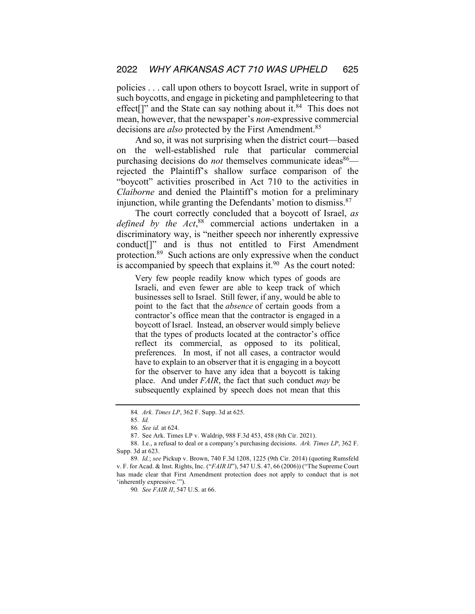policies . . . call upon others to boycott Israel, write in support of such boycotts, and engage in picketing and pamphleteering to that effect<sup>[]"</sup> and the State can say nothing about it.<sup>84</sup> This does not mean, however, that the newspaper's *non*-expressive commercial decisions are *also* protected by the First Amendment.<sup>85</sup>

And so, it was not surprising when the district court—based on the well-established rule that particular commercial purchasing decisions do *not* themselves communicate ideas<sup>86</sup> rejected the Plaintiff's shallow surface comparison of the "boycott" activities proscribed in Act 710 to the activities in *Claiborne* and denied the Plaintiff's motion for a preliminary injunction, while granting the Defendants' motion to dismiss.<sup>87</sup>

The court correctly concluded that a boycott of Israel, *as defined by the Act*, <sup>88</sup> commercial actions undertaken in a discriminatory way, is "neither speech nor inherently expressive conduct[]" and is thus not entitled to First Amendment protection.89 Such actions are only expressive when the conduct is accompanied by speech that explains it. $90$  As the court noted:

Very few people readily know which types of goods are Israeli, and even fewer are able to keep track of which businesses sell to Israel. Still fewer, if any, would be able to point to the fact that the *absence* of certain goods from a contractor's office mean that the contractor is engaged in a boycott of Israel. Instead, an observer would simply believe that the types of products located at the contractor's office reflect its commercial, as opposed to its political, preferences. In most, if not all cases, a contractor would have to explain to an observer that it is engaging in a boycott for the observer to have any idea that a boycott is taking place. And under *FAIR*, the fact that such conduct *may* be subsequently explained by speech does not mean that this

90*. See FAIR II*, 547 U.S. at 66.

<sup>84</sup>*. Ark. Times LP*, 362 F. Supp. 3d at 625.

<sup>85</sup>*. Id.*

<sup>86</sup>*. See id.* at 624.

<sup>87.</sup> See Ark. Times LP v. Waldrip, 988 F.3d 453, 458 (8th Cir. 2021).

<sup>88.</sup> I.e., a refusal to deal or a company's purchasing decisions. *Ark. Times LP*, 362 F. Supp. 3d at 623.

<sup>89</sup>*. Id.*; *see* Pickup v. Brown, 740 F.3d 1208, 1225 (9th Cir. 2014) (quoting Rumsfeld v. F. for Acad. & Inst. Rights, Inc. ("*FAIR II*"), 547 U.S. 47, 66 (2006)) ("The Supreme Court has made clear that First Amendment protection does not apply to conduct that is not 'inherently expressive.'").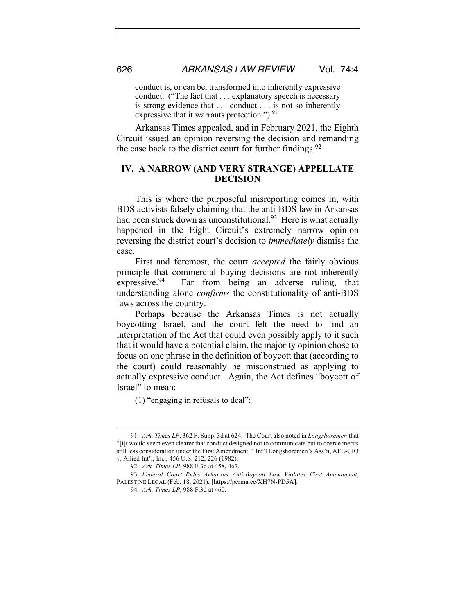conduct is, or can be, transformed into inherently expressive conduct. ("The fact that . . . explanatory speech is necessary is strong evidence that . . . conduct . . . is not so inherently expressive that it warrants protection.").<sup>91</sup>

Arkansas Times appealed, and in February 2021, the Eighth Circuit issued an opinion reversing the decision and remanding the case back to the district court for further findings. $92$ 

### **IV. A NARROW (AND VERY STRANGE) APPELLATE DECISION**

This is where the purposeful misreporting comes in, with BDS activists falsely claiming that the anti-BDS law in Arkansas had been struck down as unconstitutional.<sup>93</sup> Here is what actually happened in the Eight Circuit's extremely narrow opinion reversing the district court's decision to *immediately* dismiss the case.

First and foremost, the court *accepted* the fairly obvious principle that commercial buying decisions are not inherently expressive. <sup>94</sup> Far from being an adverse ruling, that understanding alone *confirms* the constitutionality of anti-BDS laws across the country.

Perhaps because the Arkansas Times is not actually boycotting Israel, and the court felt the need to find an interpretation of the Act that could even possibly apply to it such that it would have a potential claim, the majority opinion chose to focus on one phrase in the definition of boycott that (according to the court) could reasonably be misconstrued as applying to actually expressive conduct. Again, the Act defines "boycott of Israel" to mean:

(1) "engaging in refusals to deal";

<sup>91</sup>*. Ark. Times LP*, 362 F. Supp. 3d at 624. The Court also noted in *Longshoremen* that "[i]t would seem even clearer that conduct designed not to communicate but to coerce merits still less consideration under the First Amendment." Int'l Longshoremen's Ass'n, AFL-CIO v. Allied Int'l, Inc., 456 U.S. 212, 226 (1982).

<sup>92</sup>*. Ark. Times LP*, 988 F.3d at 458, 467.

<sup>93</sup>*. Federal Court Rules Arkansas Anti-Boycott Law Violates First Amendment*, PALESTINE LEGAL (Feb. 18, 2021), [https://perma.cc/XH7N-PD5A].

<sup>94</sup>*. Ark. Times LP*, 988 F.3d at 460.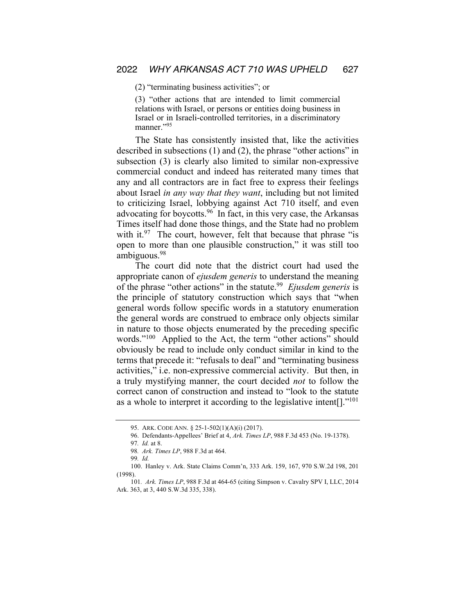(2) "terminating business activities"; or

(3) "other actions that are intended to limit commercial relations with Israel, or persons or entities doing business in Israel or in Israeli-controlled territories, in a discriminatory manner."95

The State has consistently insisted that, like the activities described in subsections (1) and (2), the phrase "other actions" in subsection (3) is clearly also limited to similar non-expressive commercial conduct and indeed has reiterated many times that any and all contractors are in fact free to express their feelings about Israel *in any way that they want*, including but not limited to criticizing Israel, lobbying against Act 710 itself, and even advocating for boycotts.96 In fact, in this very case, the Arkansas Times itself had done those things, and the State had no problem with it. $97$  The court, however, felt that because that phrase "is open to more than one plausible construction," it was still too ambiguous.98

The court did note that the district court had used the appropriate canon of *ejusdem generis* to understand the meaning of the phrase "other actions" in the statute.99 *Ejusdem generis* is the principle of statutory construction which says that "when general words follow specific words in a statutory enumeration the general words are construed to embrace only objects similar in nature to those objects enumerated by the preceding specific words."<sup>100</sup> Applied to the Act, the term "other actions" should obviously be read to include only conduct similar in kind to the terms that precede it: "refusals to deal" and "terminating business activities," i.e. non-expressive commercial activity. But then, in a truly mystifying manner, the court decided *not* to follow the correct canon of construction and instead to "look to the statute as a whole to interpret it according to the legislative intent[]."101

<sup>95.</sup> ARK. CODE ANN. § 25-1-502(1)(A)(i) (2017).

<sup>96.</sup> Defendants-Appellees' Brief at 4, *Ark. Times LP*, 988 F.3d 453 (No. 19-1378).

<sup>97</sup>*. Id.* at 8.

<sup>98</sup>*. Ark. Times LP*, 988 F.3d at 464.

<sup>99</sup>*. Id.*

<sup>100.</sup> Hanley v. Ark. State Claims Comm'n, 333 Ark. 159, 167, 970 S.W.2d 198, 201 (1998).

<sup>101</sup>*. Ark. Times LP*, 988 F.3d at 464-65 (citing Simpson v. Cavalry SPV I, LLC, 2014 Ark. 363, at 3, 440 S.W.3d 335, 338).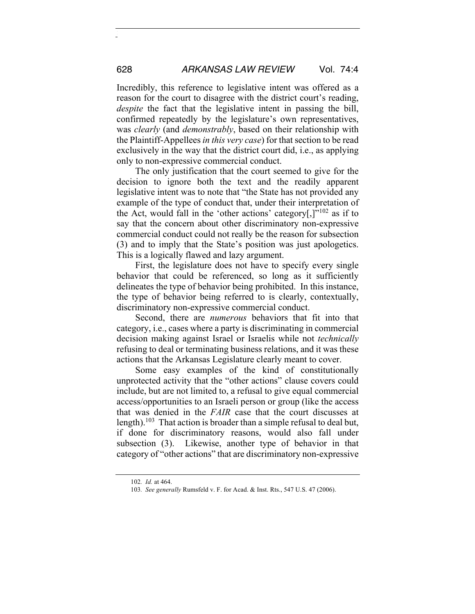Incredibly, this reference to legislative intent was offered as a reason for the court to disagree with the district court's reading, *despite* the fact that the legislative intent in passing the bill, confirmed repeatedly by the legislature's own representatives, was *clearly* (and *demonstrably*, based on their relationship with the Plaintiff-Appellees *in this very case*) for that section to be read exclusively in the way that the district court did, i.e., as applying only to non-expressive commercial conduct.

The only justification that the court seemed to give for the decision to ignore both the text and the readily apparent legislative intent was to note that "the State has not provided any example of the type of conduct that, under their interpretation of the Act, would fall in the 'other actions' category[,] $v^{102}$  as if to say that the concern about other discriminatory non-expressive commercial conduct could not really be the reason for subsection (3) and to imply that the State's position was just apologetics. This is a logically flawed and lazy argument.

First, the legislature does not have to specify every single behavior that could be referenced, so long as it sufficiently delineates the type of behavior being prohibited. In this instance, the type of behavior being referred to is clearly, contextually, discriminatory non-expressive commercial conduct.

Second, there are *numerous* behaviors that fit into that category, i.e., cases where a party is discriminating in commercial decision making against Israel or Israelis while not *technically* refusing to deal or terminating business relations, and it was these actions that the Arkansas Legislature clearly meant to cover.

Some easy examples of the kind of constitutionally unprotected activity that the "other actions" clause covers could include, but are not limited to, a refusal to give equal commercial access/opportunities to an Israeli person or group (like the access that was denied in the *FAIR* case that the court discusses at length).<sup>103</sup> That action is broader than a simple refusal to deal but, if done for discriminatory reasons, would also fall under subsection (3). Likewise, another type of behavior in that category of "other actions" that are discriminatory non-expressive

<sup>102</sup>*. Id.* at 464.

<sup>103</sup>*. See generally* Rumsfeld v. F. for Acad. & Inst. Rts., 547 U.S. 47 (2006).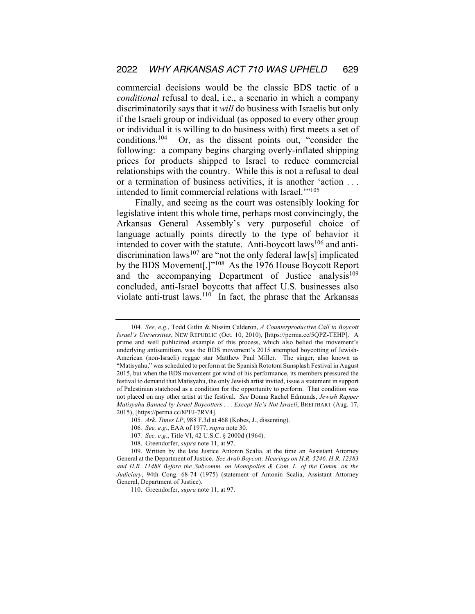commercial decisions would be the classic BDS tactic of a *conditional* refusal to deal, i.e., a scenario in which a company discriminatorily says that it *will* do business with Israelis but only if the Israeli group or individual (as opposed to every other group or individual it is willing to do business with) first meets a set of conditions.104 Or, as the dissent points out, "consider the following: a company begins charging overly-inflated shipping prices for products shipped to Israel to reduce commercial relationships with the country. While this is not a refusal to deal or a termination of business activities, it is another 'action . . . intended to limit commercial relations with Israel."<sup>105</sup>

Finally, and seeing as the court was ostensibly looking for legislative intent this whole time, perhaps most convincingly, the Arkansas General Assembly's very purposeful choice of language actually points directly to the type of behavior it intended to cover with the statute. Anti-boycott  $laws^{106}$  and antidiscrimination laws<sup>107</sup> are "not the only federal law[s] implicated by the BDS Movement[.]"108 As the 1976 House Boycott Report and the accompanying Department of Justice analysis<sup>109</sup> concluded, anti-Israel boycotts that affect U.S. businesses also violate anti-trust laws. $110$  In fact, the phrase that the Arkansas

<sup>104</sup>*. See, e.g.*, Todd Gitlin & Nissim Calderon, *A Counterproductive Call to Boycott Israel's Universities*, NEW REPUBLIC (Oct. 10, 2010), [https://perma.cc/5QPZ-TEHP]. A prime and well publicized example of this process, which also belied the movement's underlying antisemitism, was the BDS movement's 2015 attempted boycotting of Jewish-American (non-Israeli) reggae star Matthew Paul Miller. The singer, also known as "Matisyahu," was scheduled to perform at the Spanish Rototom Sunsplash Festival in August 2015, but when the BDS movement got wind of his performance, its members pressured the festival to demand that Matisyahu, the only Jewish artist invited, issue a statement in support of Palestinian statehood as a condition for the opportunity to perform. That condition was not placed on any other artist at the festival. *See* Donna Rachel Edmunds, *Jewish Rapper Matisyahu Banned by Israel Boycotters . . . Except He's Not Israeli*, BREITBART (Aug. 17, 2015), [https://perma.cc/8PFJ-7RV4].

<sup>105</sup>*. Ark. Times LP*, 988 F.3d at 468 (Kobes, J., dissenting).

<sup>106</sup>*. See, e.g.*, EAA of 1977, *supra* note 30.

<sup>107</sup>*. See, e.g.*, Title VI, 42 U.S.C. § 2000d (1964).

<sup>108.</sup> Greendorfer, *supra* note 11, at 97.

<sup>109.</sup> Written by the late Justice Antonin Scalia, at the time an Assistant Attorney General at the Department of Justice. *See Arab Boycott: Hearings on H.R. 5246, H.R. 12383 and H.R. 11488 Before the Subcomm. on Monopolies & Com. L. of the Comm. on the Judiciary*, 94th Cong. 68-74 (1975) (statement of Antonin Scalia, Assistant Attorney General, Department of Justice).

<sup>110.</sup> Greendorfer, *supra* note 11, at 97.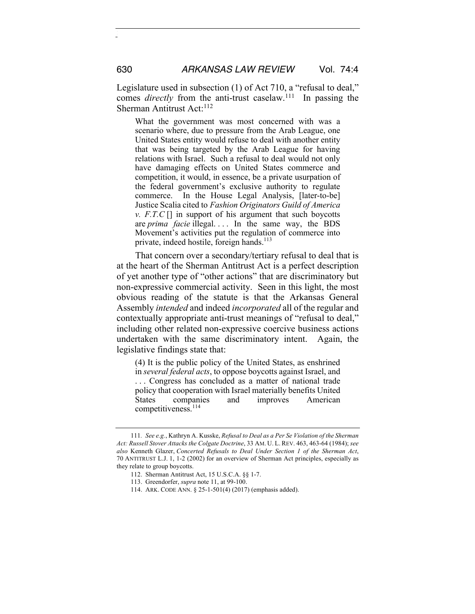Legislature used in subsection (1) of Act 710, a "refusal to deal," comes *directly* from the anti-trust caselaw.<sup>111</sup> In passing the Sherman Antitrust Act:<sup>112</sup>

What the government was most concerned with was a scenario where, due to pressure from the Arab League, one United States entity would refuse to deal with another entity that was being targeted by the Arab League for having relations with Israel. Such a refusal to deal would not only have damaging effects on United States commerce and competition, it would, in essence, be a private usurpation of the federal government's exclusive authority to regulate commerce. In the House Legal Analysis, [later-to-be] Justice Scalia cited to *Fashion Originators Guild of America v. F.T.C* [] in support of his argument that such boycotts are *prima facie* illegal.... In the same way, the BDS Movement's activities put the regulation of commerce into private, indeed hostile, foreign hands.<sup>113</sup>

That concern over a secondary/tertiary refusal to deal that is at the heart of the Sherman Antitrust Act is a perfect description of yet another type of "other actions" that are discriminatory but non-expressive commercial activity. Seen in this light, the most obvious reading of the statute is that the Arkansas General Assembly *intended* and indeed *incorporated* all of the regular and contextually appropriate anti-trust meanings of "refusal to deal," including other related non-expressive coercive business actions undertaken with the same discriminatory intent. Again, the legislative findings state that:

(4) It is the public policy of the United States, as enshrined in *several federal acts*, to oppose boycotts against Israel, and . . . Congress has concluded as a matter of national trade policy that cooperation with Israel materially benefits United States companies and improves American competitiveness.<sup>114</sup>

<sup>111</sup>*. See e.g.*, Kathryn A. Kusske, *Refusal to Deal as a Per Se Violation of the Sherman Act: Russell Stover Attacks the Colgate Doctrine*, 33 AM. U. L. REV. 463, 463-64 (1984); *see also* Kenneth Glazer, *Concerted Refusals to Deal Under Section 1 of the Sherman Act*, 70 ANTITRUST L.J. 1, 1-2 (2002) for an overview of Sherman Act principles, especially as they relate to group boycotts.

<sup>112.</sup> Sherman Antitrust Act, 15 U.S.C.A. §§ 1-7.

<sup>113.</sup> Greendorfer, *supra* note 11, at 99-100.

<sup>114.</sup> ARK. CODE ANN. § 25-1-501(4) (2017) (emphasis added).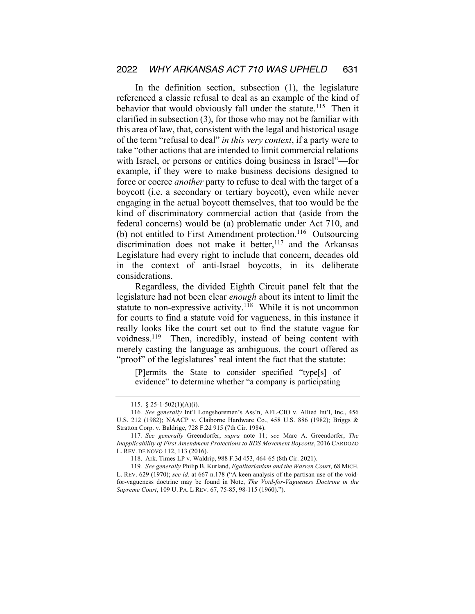In the definition section, subsection (1), the legislature referenced a classic refusal to deal as an example of the kind of behavior that would obviously fall under the statute.<sup>115</sup> Then it clarified in subsection (3), for those who may not be familiar with this area of law, that, consistent with the legal and historical usage of the term "refusal to deal" *in this very context*, if a party were to take "other actions that are intended to limit commercial relations with Israel, or persons or entities doing business in Israel"—for example, if they were to make business decisions designed to force or coerce *another* party to refuse to deal with the target of a boycott (i.e. a secondary or tertiary boycott), even while never engaging in the actual boycott themselves, that too would be the kind of discriminatory commercial action that (aside from the federal concerns) would be (a) problematic under Act 710, and (b) not entitled to First Amendment protection.<sup>116</sup> Outsourcing discrimination does not make it better,<sup>117</sup> and the Arkansas Legislature had every right to include that concern, decades old in the context of anti-Israel boycotts, in its deliberate considerations.

Regardless, the divided Eighth Circuit panel felt that the legislature had not been clear *enough* about its intent to limit the statute to non-expressive activity.<sup>118</sup> While it is not uncommon for courts to find a statute void for vagueness, in this instance it really looks like the court set out to find the statute vague for voidness.<sup>119</sup> Then, incredibly, instead of being content with merely casting the language as ambiguous, the court offered as "proof" of the legislatures' real intent the fact that the statute:

[P]ermits the State to consider specified "type[s] of evidence" to determine whether "a company is participating

<sup>115.</sup> § 25-1-502(1)(A)(i).

<sup>116</sup>*. See generally* Int'l Longshoremen's Ass'n, AFL-CIO v. Allied Int'l, Inc., 456 U.S. 212 (1982); NAACP v. Claiborne Hardware Co., 458 U.S. 886 (1982); Briggs & Stratton Corp. v. Baldrige, 728 F.2d 915 (7th Cir. 1984).

<sup>117</sup>*. See generally* Greendorfer, *supra* note 11; *see* Marc A. Greendorfer, *The Inapplicability of First Amendment Protections to BDS Movement Boycotts*, 2016 CARDOZO L. REV. DE NOVO 112, 113 (2016).

<sup>118.</sup> Ark. Times LP v. Waldrip, 988 F.3d 453, 464-65 (8th Cir. 2021).

<sup>119</sup>*. See generally* Philip B. Kurland, *Egalitarianism and the Warren Court*, 68 MICH. L. REV. 629 (1970); *see id.* at 667 n.178 ("A keen analysis of the partisan use of the voidfor-vagueness doctrine may be found in Note, *The Void-for-Vagueness Doctrine in the Supreme Court*, 109 U. PA. L REV. 67, 75-85, 98-115 (1960).").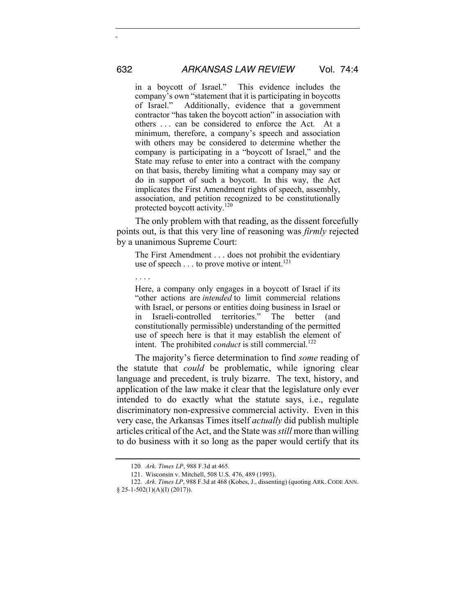in a boycott of Israel." This evidence includes the company's own "statement that it is participating in boycotts<br>of Israel." Additionally, evidence that a government Additionally, evidence that a government contractor "has taken the boycott action" in association with others . . . can be considered to enforce the Act. At a minimum, therefore, a company's speech and association with others may be considered to determine whether the company is participating in a "boycott of Israel," and the State may refuse to enter into a contract with the company on that basis, thereby limiting what a company may say or do in support of such a boycott. In this way, the Act implicates the First Amendment rights of speech, assembly, association, and petition recognized to be constitutionally protected boycott activity.<sup>120</sup>

The only problem with that reading, as the dissent forcefully points out, is that this very line of reasoning was *firmly* rejected by a unanimous Supreme Court:

The First Amendment . . . does not prohibit the evidentiary use of speech  $\dots$  to prove motive or intent.<sup>121</sup>

. . . .

Here, a company only engages in a boycott of Israel if its "other actions are *intended* to limit commercial relations with Israel, or persons or entities doing business in Israel or in Israeli-controlled territories." The better (and constitutionally permissible) understanding of the permitted use of speech here is that it may establish the element of intent. The prohibited *conduct* is still commercial.<sup>122</sup>

The majority's fierce determination to find *some* reading of the statute that *could* be problematic, while ignoring clear language and precedent, is truly bizarre. The text, history, and application of the law make it clear that the legislature only ever intended to do exactly what the statute says, i.e., regulate discriminatory non-expressive commercial activity. Even in this very case, the Arkansas Times itself *actually* did publish multiple articles critical of the Act, and the State was *still* more than willing to do business with it so long as the paper would certify that its

<sup>120</sup>*. Ark. Times LP*, 988 F.3d at 465.

<sup>121.</sup> Wisconsin v. Mitchell, 508 U.S. 476, 489 (1993).

<sup>122</sup>*. Ark. Times LP*, 988 F.3d at 468 (Kobes, J., dissenting) (quoting ARK. CODE ANN. § 25-1-502(1)(A)(I) (2017)).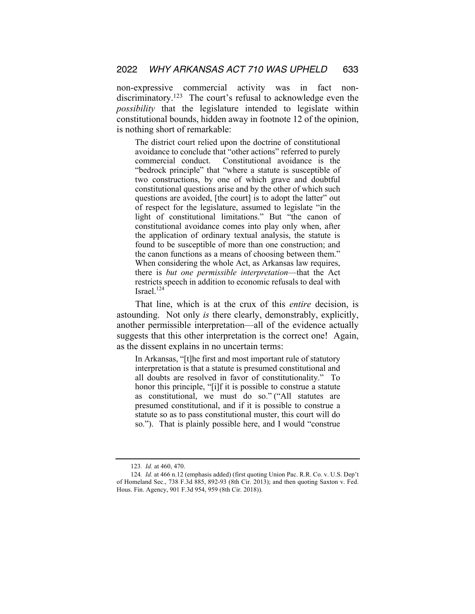non-expressive commercial activity was in fact nondiscriminatory.123 The court's refusal to acknowledge even the *possibility* that the legislature intended to legislate within constitutional bounds, hidden away in footnote 12 of the opinion, is nothing short of remarkable:

The district court relied upon the doctrine of constitutional avoidance to conclude that "other actions" referred to purely commercial conduct. Constitutional avoidance is the "bedrock principle" that "where a statute is susceptible of two constructions, by one of which grave and doubtful constitutional questions arise and by the other of which such questions are avoided, [the court] is to adopt the latter" out of respect for the legislature, assumed to legislate "in the light of constitutional limitations." But "the canon of constitutional avoidance comes into play only when, after the application of ordinary textual analysis, the statute is found to be susceptible of more than one construction; and the canon functions as a means of choosing between them." When considering the whole Act, as Arkansas law requires, there is *but one permissible interpretation*—that the Act restricts speech in addition to economic refusals to deal with Israel. $124$ 

That line, which is at the crux of this *entire* decision, is astounding. Not only *is* there clearly, demonstrably, explicitly, another permissible interpretation—all of the evidence actually suggests that this other interpretation is the correct one! Again, as the dissent explains in no uncertain terms:

In Arkansas, "[t]he first and most important rule of statutory interpretation is that a statute is presumed constitutional and all doubts are resolved in favor of constitutionality." To honor this principle, "[i]f it is possible to construe a statute as constitutional, we must do so." ("All statutes are presumed constitutional, and if it is possible to construe a statute so as to pass constitutional muster, this court will do so."). That is plainly possible here, and I would "construe

<sup>123</sup>*. Id.* at 460, 470.

<sup>124</sup>*. Id.* at 466 n.12 (emphasis added) (first quoting Union Pac. R.R. Co. v. U.S. Dep't of Homeland Sec., 738 F.3d 885, 892-93 (8th Cir. 2013); and then quoting Saxton v. Fed. Hous. Fin. Agency, 901 F.3d 954, 959 (8th Cir. 2018)).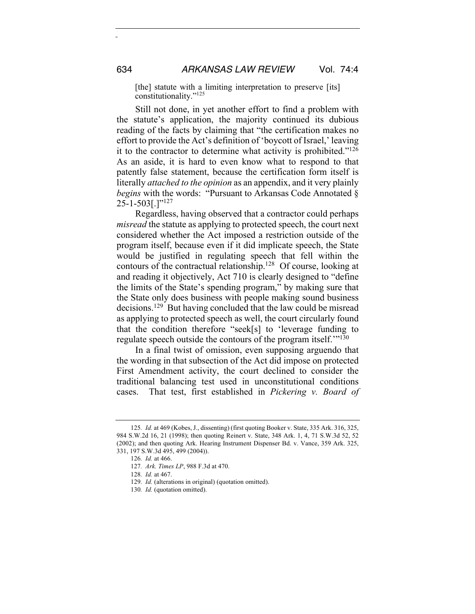[the] statute with a limiting interpretation to preserve [its] constitutionality."<sup>125</sup>

Still not done, in yet another effort to find a problem with the statute's application, the majority continued its dubious reading of the facts by claiming that "the certification makes no effort to provide the Act's definition of 'boycott of Israel,' leaving it to the contractor to determine what activity is prohibited."126 As an aside, it is hard to even know what to respond to that patently false statement, because the certification form itself is literally *attached to the opinion* as an appendix, and it very plainly *begins* with the words: "Pursuant to Arkansas Code Annotated §  $25 - 1 - 503$ [.]"<sup>127</sup>

Regardless, having observed that a contractor could perhaps *misread* the statute as applying to protected speech, the court next considered whether the Act imposed a restriction outside of the program itself, because even if it did implicate speech, the State would be justified in regulating speech that fell within the contours of the contractual relationship.128 Of course, looking at and reading it objectively, Act 710 is clearly designed to "define the limits of the State's spending program," by making sure that the State only does business with people making sound business decisions.129 But having concluded that the law could be misread as applying to protected speech as well, the court circularly found that the condition therefore "seek[s] to 'leverage funding to regulate speech outside the contours of the program itself."<sup>130</sup>

In a final twist of omission, even supposing arguendo that the wording in that subsection of the Act did impose on protected First Amendment activity, the court declined to consider the traditional balancing test used in unconstitutional conditions cases. That test, first established in *Pickering v. Board of* 

<sup>125</sup>*. Id.* at 469 (Kobes, J., dissenting) (first quoting Booker v. State, 335 Ark. 316, 325, 984 S.W.2d 16, 21 (1998); then quoting Reinert v. State, 348 Ark. 1, 4, 71 S.W.3d 52, 52 (2002); and then quoting Ark. Hearing Instrument Dispenser Bd. v. Vance, 359 Ark. 325, 331, 197 S.W.3d 495, 499 (2004)).

<sup>126</sup>*. Id.* at 466.

<sup>127</sup>*. Ark. Times LP*, 988 F.3d at 470.

<sup>128</sup>*. Id.* at 467.

<sup>129</sup>*. Id.* (alterations in original) (quotation omitted).

<sup>130</sup>*. Id.* (quotation omitted).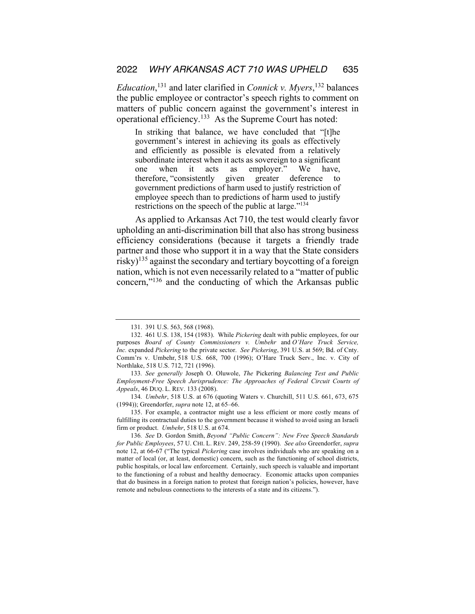*Education*, <sup>131</sup> and later clarified in *Connick v. Myers*, <sup>132</sup> balances the public employee or contractor's speech rights to comment on matters of public concern against the government's interest in operational efficiency.133 As the Supreme Court has noted:

In striking that balance, we have concluded that "[t]he government's interest in achieving its goals as effectively and efficiently as possible is elevated from a relatively subordinate interest when it acts as sovereign to a significant one when it acts as employer." We have, therefore, "consistently given greater deference to government predictions of harm used to justify restriction of employee speech than to predictions of harm used to justify restrictions on the speech of the public at large."<sup>134</sup>

As applied to Arkansas Act 710, the test would clearly favor upholding an anti-discrimination bill that also has strong business efficiency considerations (because it targets a friendly trade partner and those who support it in a way that the State considers risky)<sup>135</sup> against the secondary and tertiary boycotting of a foreign nation, which is not even necessarily related to a "matter of public concern,"136 and the conducting of which the Arkansas public

134*. Umbehr*, 518 U.S. at 676 (quoting Waters v. Churchill, 511 U.S. 661, 673, 675 (1994)); Greendorfer, *supra* note 12, at 65–66.

135. For example, a contractor might use a less efficient or more costly means of fulfilling its contractual duties to the government because it wished to avoid using an Israeli firm or product. *Umbehr*, 518 U.S. at 674.

<sup>131.</sup> 391 U.S. 563, 568 (1968).

<sup>132.</sup> 461 U.S. 138, 154 (1983). While *Pickering* dealt with public employees, for our purposes *Board of County Commissioners v. Umbehr* and *O'Hare Truck Service, Inc.* expanded *Pickering* to the private sector. *See Pickering*, 391 U.S. at 569; Bd. of Cnty. Comm'rs v. Umbehr, 518 U.S. 668, 700 (1996); O'Hare Truck Serv., Inc. v. City of Northlake, 518 U.S. 712, 721 (1996).

<sup>133</sup>*. See generally* Joseph O. Oluwole, *The* Pickering *Balancing Test and Public Employment-Free Speech Jurisprudence: The Approaches of Federal Circuit Courts of Appeals*, 46 DUQ. L. REV. 133 (2008).

<sup>136</sup>*. See* D. Gordon Smith, *Beyond "Public Concern": New Free Speech Standards for Public Employees*, 57 U. CHI. L. REV. 249, 258-59 (1990). *See also* Greendorfer, *supra* note 12, at 66-67 ("The typical *Pickering* case involves individuals who are speaking on a matter of local (or, at least, domestic) concern, such as the functioning of school districts, public hospitals, or local law enforcement. Certainly, such speech is valuable and important to the functioning of a robust and healthy democracy. Economic attacks upon companies that do business in a foreign nation to protest that foreign nation's policies, however, have remote and nebulous connections to the interests of a state and its citizens.").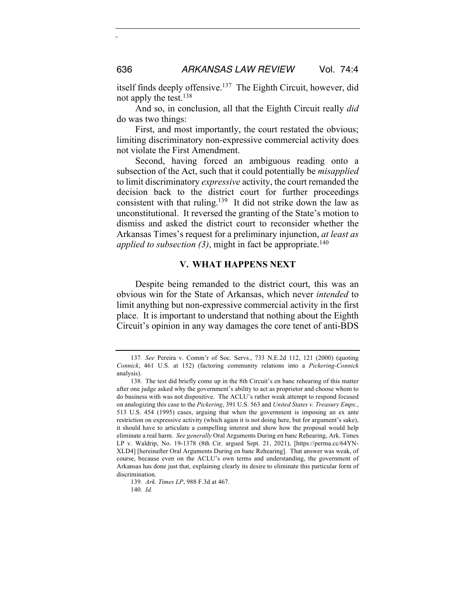itself finds deeply offensive.137 The Eighth Circuit, however, did not apply the test.138

And so, in conclusion, all that the Eighth Circuit really *did* do was two things:

First, and most importantly, the court restated the obvious; limiting discriminatory non-expressive commercial activity does not violate the First Amendment.

Second, having forced an ambiguous reading onto a subsection of the Act, such that it could potentially be *misapplied*  to limit discriminatory *expressive* activity, the court remanded the decision back to the district court for further proceedings consistent with that ruling.139 It did not strike down the law as unconstitutional. It reversed the granting of the State's motion to dismiss and asked the district court to reconsider whether the Arkansas Times's request for a preliminary injunction, *at least as applied to subsection (3)*, might in fact be appropriate.<sup>140</sup>

#### **V. WHAT HAPPENS NEXT**

Despite being remanded to the district court, this was an obvious win for the State of Arkansas, which never *intended* to limit anything but non-expressive commercial activity in the first place. It is important to understand that nothing about the Eighth Circuit's opinion in any way damages the core tenet of anti-BDS

<sup>137</sup>*. See* Pereira v. Comm'r of Soc. Servs., 733 N.E.2d 112, 121 (2000) (quoting *Connick*, 461 U.S. at 152) (factoring community relations into a *Pickering-Connick*  analysis).

<sup>138.</sup> The test did briefly come up in the 8th Circuit's en banc rehearing of this matter after one judge asked why the government's ability to act as proprietor and choose whom to do business with was not dispositive. The ACLU's rather weak attempt to respond focused on analogizing this case to the *Pickering*, 391 U.S. 563 and *United States v. Treasury Emps.*, 513 U.S. 454 (1995) cases, arguing that when the government is imposing an ex ante restriction on expressive activity (which again it is not doing here, but for argument's sake), it should have to articulate a compelling interest and show how the proposal would help eliminate a real harm. *See generally* Oral Arguments During en banc Rehearing, Ark. Times LP v. Waldrip, No. 19-1378 (8th Cir. argued Sept. 21, 2021), [https://perma.cc/64YN-XLD4] [hereinafter Oral Arguments During en banc Rehearing]. That answer was weak, of course, because even on the ACLU's own terms and understanding, the government of Arkansas has done just that, explaining clearly its desire to eliminate this particular form of discrimination.

<sup>139</sup>*. Ark. Times LP*, 988 F.3d at 467.

<sup>140</sup>*. Id.*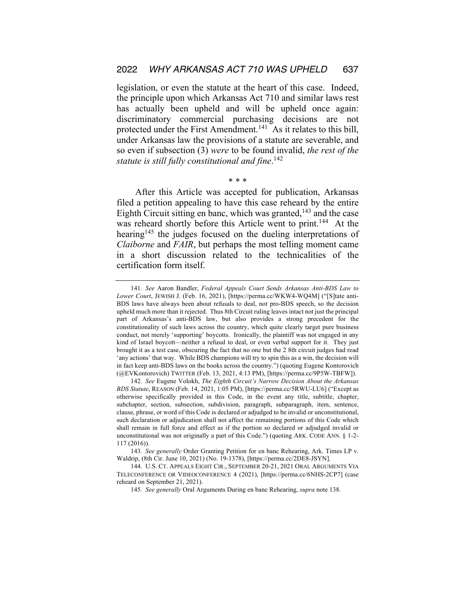legislation, or even the statute at the heart of this case. Indeed, the principle upon which Arkansas Act 710 and similar laws rest has actually been upheld and will be upheld once again: discriminatory commercial purchasing decisions are not protected under the First Amendment.<sup>141</sup> As it relates to this bill, under Arkansas law the provisions of a statute are severable, and so even if subsection (3) *were* to be found invalid, *the rest of the statute is still fully constitutional and fine*. 142

\* \* \*

After this Article was accepted for publication, Arkansas filed a petition appealing to have this case reheard by the entire Eighth Circuit sitting en banc, which was granted, $143$  and the case was reheard shortly before this Article went to print.<sup>144</sup> At the hearing<sup>145</sup> the judges focused on the dueling interpretations of *Claiborne* and *FAIR*, but perhaps the most telling moment came in a short discussion related to the technicalities of the certification form itself.

<sup>141</sup>*. See* Aaron Bandler, *Federal Appeals Court Sends Arkansas Anti-BDS Law to Lower Court*, JEWISH J. (Feb. 16, 2021), [https://perma.cc/WKW4-WQ4M] ("[S]tate anti-BDS laws have always been about refusals to deal, not pro-BDS speech, so the decision upheld much more than it rejected. Thus 8th Circuit ruling leaves intact not just the principal part of Arkansas's anti-BDS law, but also provides a strong precedent for the constitutionality of such laws across the country, which quite clearly target pure business conduct, not merely 'supporting' boycotts. Ironically, the plaintiff was not engaged in any kind of Israel boycott—neither a refusal to deal, or even verbal support for it. They just brought it as a test case, obscuring the fact that no one but the 2 8th circuit judges had read 'any actions' that way. While BDS champions will try to spin this as a win, the decision will in fact keep anti-BDS laws on the books across the country.") (quoting Eugene Kontorovich (@EVKontorovich) TWITTER (Feb. 13, 2021, 4:13 PM), [https://perma.cc/9P5W-TBFW]).

<sup>142</sup>*. See* Eugene Volokh, *The Eighth Circuit's Narrow Decision About the Arkansas BDS Statute*, REASON (Feb. 14, 2021, 1:05 PM), [https://perma.cc/5RWU-LU6] ("Except as otherwise specifically provided in this Code, in the event any title, subtitle, chapter, subchapter, section, subsection, subdivision, paragraph, subparagraph, item, sentence, clause, phrase, or word of this Code is declared or adjudged to be invalid or unconstitutional, such declaration or adjudication shall not affect the remaining portions of this Code which shall remain in full force and effect as if the portion so declared or adjudged invalid or unconstitutional was not originally a part of this Code.") (quoting ARK. CODE ANN. § 1-2- 117 (2016)).

<sup>143</sup>*. See generally* Order Granting Petition for en banc Rehearing, Ark. Times LP v. Waldrip, (8th Cir. June 10, 2021) (No. 19-1378), [https://perma.cc/2DE8-JSYN].

<sup>144.</sup> U.S. CT. APPEALS EIGHT CIR., SEPTEMBER 20-21, 2021 ORAL ARGUMENTS VIA TELECONFERENCE OR VIDEOCONFERENCE 4 (2021), [https://perma.cc/6NHS-2CP7] (case reheard on September 21, 2021).

<sup>145</sup>*. See generally* Oral Arguments During en banc Rehearing, *supra* note 138.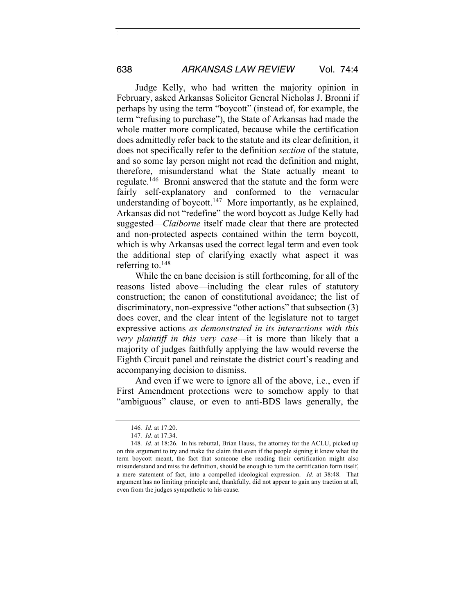Judge Kelly, who had written the majority opinion in February, asked Arkansas Solicitor General Nicholas J. Bronni if perhaps by using the term "boycott" (instead of, for example, the term "refusing to purchase"), the State of Arkansas had made the whole matter more complicated, because while the certification does admittedly refer back to the statute and its clear definition, it does not specifically refer to the definition *section* of the statute, and so some lay person might not read the definition and might, therefore, misunderstand what the State actually meant to regulate.146 Bronni answered that the statute and the form were fairly self-explanatory and conformed to the vernacular understanding of boycott.<sup>147</sup> More importantly, as he explained, Arkansas did not "redefine" the word boycott as Judge Kelly had suggested—*Claiborne* itself made clear that there are protected and non-protected aspects contained within the term boycott, which is why Arkansas used the correct legal term and even took the additional step of clarifying exactly what aspect it was referring to. $148$ 

While the en banc decision is still forthcoming, for all of the reasons listed above—including the clear rules of statutory construction; the canon of constitutional avoidance; the list of discriminatory, non-expressive "other actions" that subsection (3) does cover, and the clear intent of the legislature not to target expressive actions *as demonstrated in its interactions with this very plaintiff in this very case*—it is more than likely that a majority of judges faithfully applying the law would reverse the Eighth Circuit panel and reinstate the district court's reading and accompanying decision to dismiss.

And even if we were to ignore all of the above, i.e., even if First Amendment protections were to somehow apply to that "ambiguous" clause, or even to anti-BDS laws generally, the

<sup>146</sup>*. Id.* at 17:20.

<sup>147</sup>*. Id.* at 17:34.

<sup>148</sup>*. Id.* at 18:26. In his rebuttal, Brian Hauss, the attorney for the ACLU, picked up on this argument to try and make the claim that even if the people signing it knew what the term boycott meant, the fact that someone else reading their certification might also misunderstand and miss the definition, should be enough to turn the certification form itself, a mere statement of fact, into a compelled ideological expression. *Id.* at 38:48. That argument has no limiting principle and, thankfully, did not appear to gain any traction at all, even from the judges sympathetic to his cause.